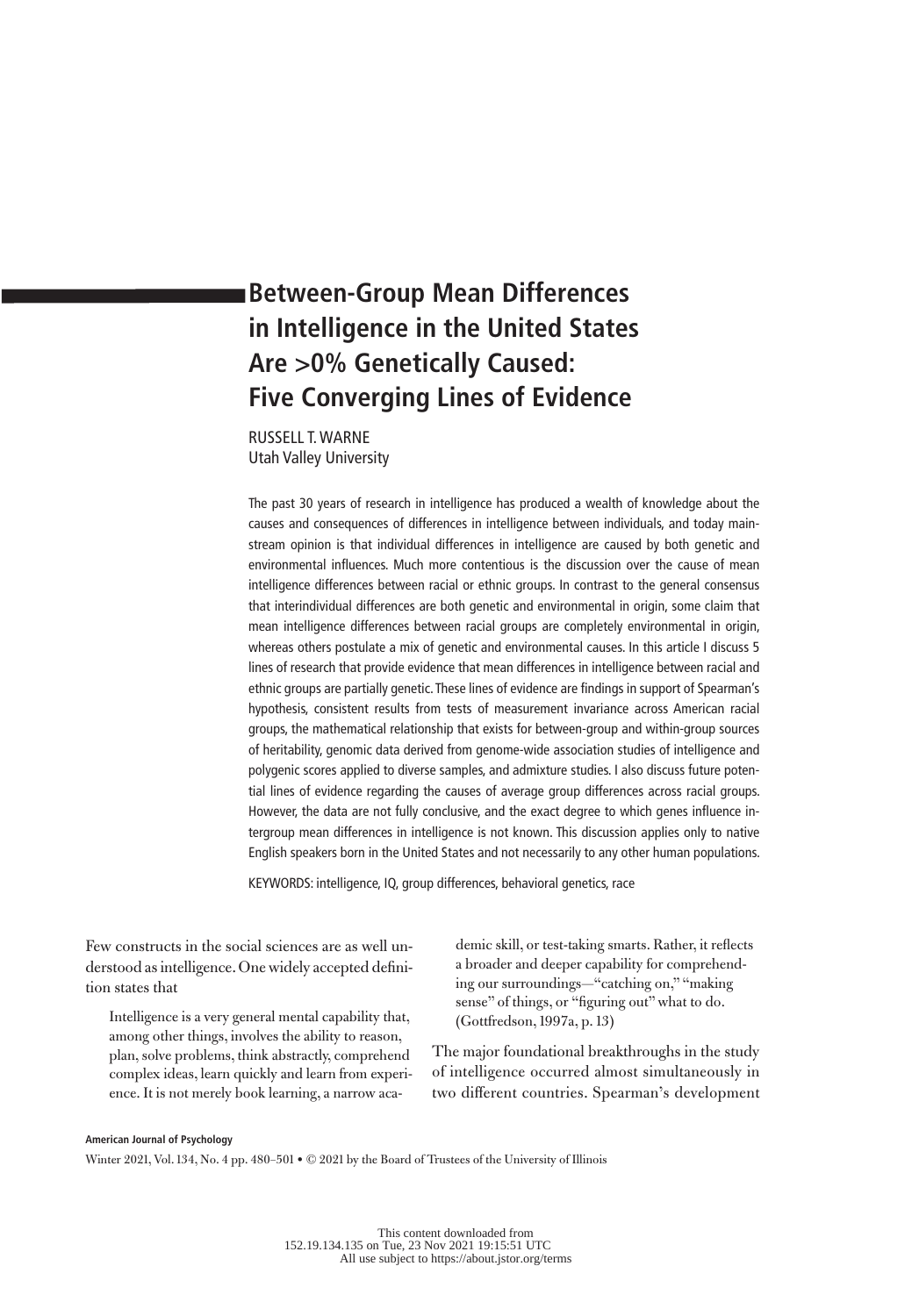# **Between-Group Mean Differences in Intelligence in the United States Are >0% Genetically Caused: Five Converging Lines of Evidence**

RUSSELL T. WARNE Utah Valley University

The past 30 years of research in intelligence has produced a wealth of knowledge about the causes and consequences of differences in intelligence between individuals, and today mainstream opinion is that individual differences in intelligence are caused by both genetic and environmental influences. Much more contentious is the discussion over the cause of mean intelligence differences between racial or ethnic groups. In contrast to the general consensus that interindividual differences are both genetic and environmental in origin, some claim that mean intelligence differences between racial groups are completely environmental in origin, whereas others postulate a mix of genetic and environmental causes. In this article I discuss 5 lines of research that provide evidence that mean differences in intelligence between racial and ethnic groups are partially genetic. These lines of evidence are findings in support of Spearman's hypothesis, consistent results from tests of measurement invariance across American racial groups, the mathematical relationship that exists for between-group and within-group sources of heritability, genomic data derived from genome-wide association studies of intelligence and polygenic scores applied to diverse samples, and admixture studies. I also discuss future potential lines of evidence regarding the causes of average group differences across racial groups. However, the data are not fully conclusive, and the exact degree to which genes influence intergroup mean differences in intelligence is not known. This discussion applies only to native English speakers born in the United States and not necessarily to any other human populations.

KEYWORDS: intelligence, IQ, group differences, behavioral genetics, race

Few constructs in the social sciences are as well understood as intelligence. One widely accepted definition states that

Intelligence is a very general mental capability that, among other things, involves the ability to reason, plan, solve problems, think abstractly, comprehend complex ideas, learn quickly and learn from experience. It is not merely book learning, a narrow academic skill, or test-taking smarts. Rather, it reflects a broader and deeper capability for comprehending our surroundings—"catching on," "making sense" of things, or "figuring out" what to do. (Gottfredson, 1997a, p. 13)

The major foundational breakthroughs in the study of intelligence occurred almost simultaneously in two different countries. Spearman's development

#### **American Journal of Psychology**

Winter 2021, Vol. 134, No. 4 pp. 480–501 • © 2021 by the Board of Trustees of the University of Illinois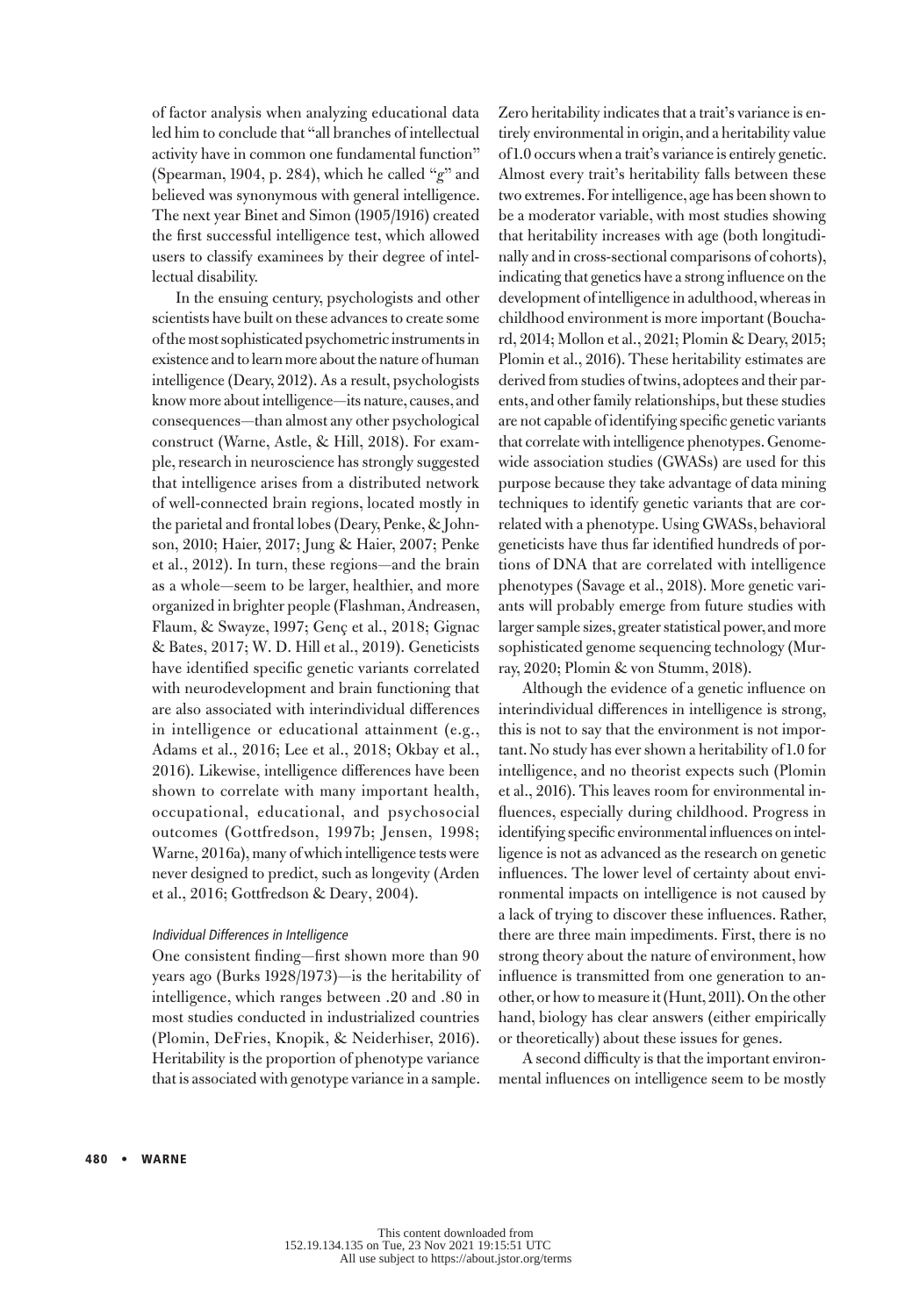of factor analysis when analyzing educational data led him to conclude that "all branches of intellectual activity have in common one fundamental function" (Spearman, 1904, p. 284), which he called "*g*" and believed was synonymous with general intelligence. The next year Binet and Simon (1905/1916) created the first successful intelligence test, which allowed users to classify examinees by their degree of intellectual disability.

In the ensuing century, psychologists and other scientists have built on these advances to create some of the most sophisticated psychometric instruments in existence and to learn more about the nature of human intelligence (Deary, 2012). As a result, psychologists know more about intelligence—its nature, causes, and consequences—than almost any other psychological construct (Warne, Astle, & Hill, 2018). For example, research in neuroscience has strongly suggested that intelligence arises from a distributed network of well-connected brain regions, located mostly in the parietal and frontal lobes (Deary, Penke, & Johnson, 2010; Haier, 2017; Jung & Haier, 2007; Penke et al., 2012). In turn, these regions—and the brain as a whole—seem to be larger, healthier, and more organized in brighter people (Flashman, Andreasen, Flaum, & Swayze, 1997; Genç et al., 2018; Gignac & Bates, 2017; W. D. Hill et al., 2019). Geneticists have identified specific genetic variants correlated with neurodevelopment and brain functioning that are also associated with interindividual differences in intelligence or educational attainment (e.g., Adams et al., 2016; Lee et al., 2018; Okbay et al., 2016). Likewise, intelligence differences have been shown to correlate with many important health, occupational, educational, and psychosocial outcomes (Gottfredson, 1997b; Jensen, 1998; Warne, 2016a), many of which intelligence tests were never designed to predict, such as longevity (Arden et al., 2016; Gottfredson & Deary, 2004).

## Individual Differences in Intelligence

One consistent finding—first shown more than 90 years ago (Burks 1928/1973)—is the heritability of intelligence, which ranges between .20 and .80 in most studies conducted in industrialized countries (Plomin, DeFries, Knopik, & Neiderhiser, 2016). Heritability is the proportion of phenotype variance that is associated with genotype variance in a sample. Zero heritability indicates that a trait's variance is entirely environmental in origin, and a heritability value of 1.0 occurs when a trait's variance is entirely genetic. Almost every trait's heritability falls between these two extremes. For intelligence, age has been shown to be a moderator variable, with most studies showing that heritability increases with age (both longitudinally and in cross-sectional comparisons of cohorts), indicating that genetics have a strong influence on the development of intelligence in adulthood, whereas in childhood environment is more important (Bouchard, 2014; Mollon et al., 2021; Plomin & Deary, 2015; Plomin et al., 2016). These heritability estimates are derived from studies of twins, adoptees and their parents, and other family relationships, but these studies are not capable of identifying specific genetic variants that correlate with intelligence phenotypes. Genomewide association studies (GWASs) are used for this purpose because they take advantage of data mining techniques to identify genetic variants that are correlated with a phenotype. Using GWASs, behavioral geneticists have thus far identified hundreds of portions of DNA that are correlated with intelligence phenotypes (Savage et al., 2018). More genetic variants will probably emerge from future studies with larger sample sizes, greater statistical power, and more sophisticated genome sequencing technology (Murray, 2020; Plomin & von Stumm, 2018).

Although the evidence of a genetic influence on interindividual differences in intelligence is strong, this is not to say that the environment is not important. No study has ever shown a heritability of 1.0 for intelligence, and no theorist expects such (Plomin et al., 2016). This leaves room for environmental influences, especially during childhood. Progress in identifying specific environmental influences on intelligence is not as advanced as the research on genetic influences. The lower level of certainty about environmental impacts on intelligence is not caused by a lack of trying to discover these influences. Rather, there are three main impediments. First, there is no strong theory about the nature of environment, how influence is transmitted from one generation to another, or how to measure it (Hunt, 2011). On the other hand, biology has clear answers (either empirically or theoretically) about these issues for genes.

A second difficulty is that the important environmental influences on intelligence seem to be mostly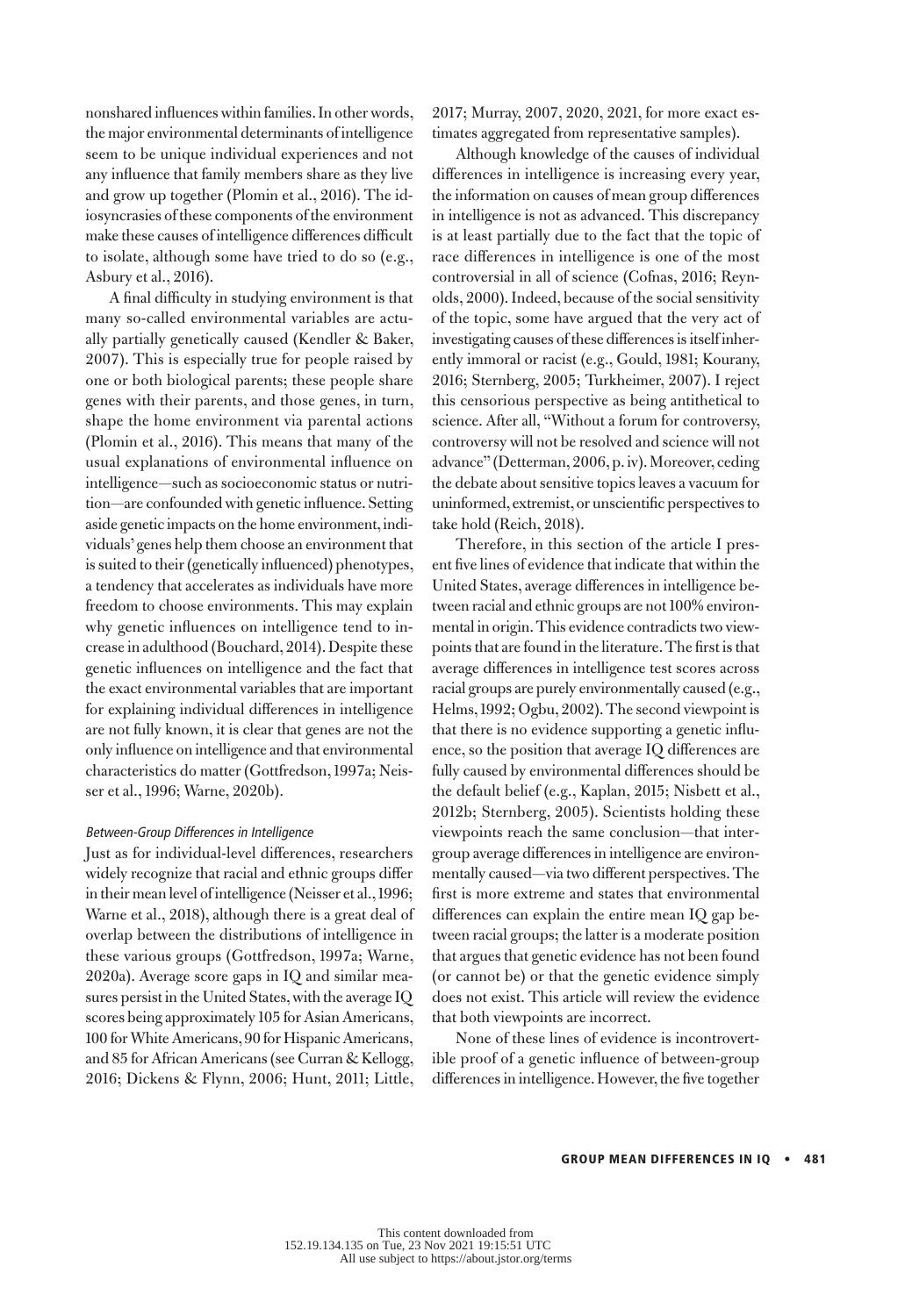nonshared influences within families. In other words, the major environmental determinants of intelligence seem to be unique individual experiences and not any influence that family members share as they live and grow up together (Plomin et al., 2016). The idiosyncrasies of these components of the environment make these causes of intelligence differences difficult to isolate, although some have tried to do so (e.g., Asbury et al., 2016).

A final difficulty in studying environment is that many so-called environmental variables are actually partially genetically caused (Kendler & Baker, 2007). This is especially true for people raised by one or both biological parents; these people share genes with their parents, and those genes, in turn, shape the home environment via parental actions (Plomin et al., 2016). This means that many of the usual explanations of environmental influence on intelligence—such as socioeconomic status or nutrition—are confounded with genetic influence. Setting aside genetic impacts on the home environment, individuals' genes help them choose an environment that is suited to their (genetically influenced) phenotypes, a tendency that accelerates as individuals have more freedom to choose environments. This may explain why genetic influences on intelligence tend to increase in adulthood (Bouchard, 2014). Despite these genetic influences on intelligence and the fact that the exact environmental variables that are important for explaining individual differences in intelligence are not fully known, it is clear that genes are not the only influence on intelligence and that environmental characteristics do matter (Gottfredson, 1997a; Neisser et al., 1996; Warne, 2020b).

# Between-Group Differences in Intelligence

Just as for individual-level differences, researchers widely recognize that racial and ethnic groups differ in their mean level of intelligence (Neisser et al., 1996; Warne et al., 2018), although there is a great deal of overlap between the distributions of intelligence in these various groups (Gottfredson, 1997a; Warne, 2020a). Average score gaps in IQ and similar measures persist in the United States, with the average IQ scores being approximately 105 for Asian Americans, 100 for White Americans, 90 for Hispanic Americans, and 85 for African Americans (see Curran & Kellogg, 2016; Dickens & Flynn, 2006; Hunt, 2011; Little,

2017; Murray, 2007, 2020, 2021, for more exact estimates aggregated from representative samples).

Although knowledge of the causes of individual differences in intelligence is increasing every year, the information on causes of mean group differences in intelligence is not as advanced. This discrepancy is at least partially due to the fact that the topic of race differences in intelligence is one of the most controversial in all of science (Cofnas, 2016; Reynolds, 2000). Indeed, because of the social sensitivity of the topic, some have argued that the very act of investigating causes of these differences is itself inherently immoral or racist (e.g., Gould, 1981; Kourany, 2016; Sternberg, 2005; Turkheimer, 2007). I reject this censorious perspective as being antithetical to science. After all, "Without a forum for controversy, controversy will not be resolved and science will not advance" (Detterman, 2006, p. iv). Moreover, ceding the debate about sensitive topics leaves a vacuum for uninformed, extremist, or unscientific perspectives to take hold (Reich, 2018).

Therefore, in this section of the article I present five lines of evidence that indicate that within the United States, average differences in intelligence between racial and ethnic groups are not 100% environmental in origin. This evidence contradicts two viewpoints that are found in the literature. The first is that average differences in intelligence test scores across racial groups are purely environmentally caused (e.g., Helms, 1992; Ogbu, 2002). The second viewpoint is that there is no evidence supporting a genetic influence, so the position that average IQ differences are fully caused by environmental differences should be the default belief (e.g., Kaplan, 2015; Nisbett et al., 2012b; Sternberg, 2005). Scientists holding these viewpoints reach the same conclusion—that intergroup average differences in intelligence are environmentally caused—via two different perspectives. The first is more extreme and states that environmental differences can explain the entire mean IQ gap between racial groups; the latter is a moderate position that argues that genetic evidence has not been found (or cannot be) or that the genetic evidence simply does not exist. This article will review the evidence that both viewpoints are incorrect.

None of these lines of evidence is incontrovertible proof of a genetic influence of between-group differences in intelligence. However, the five together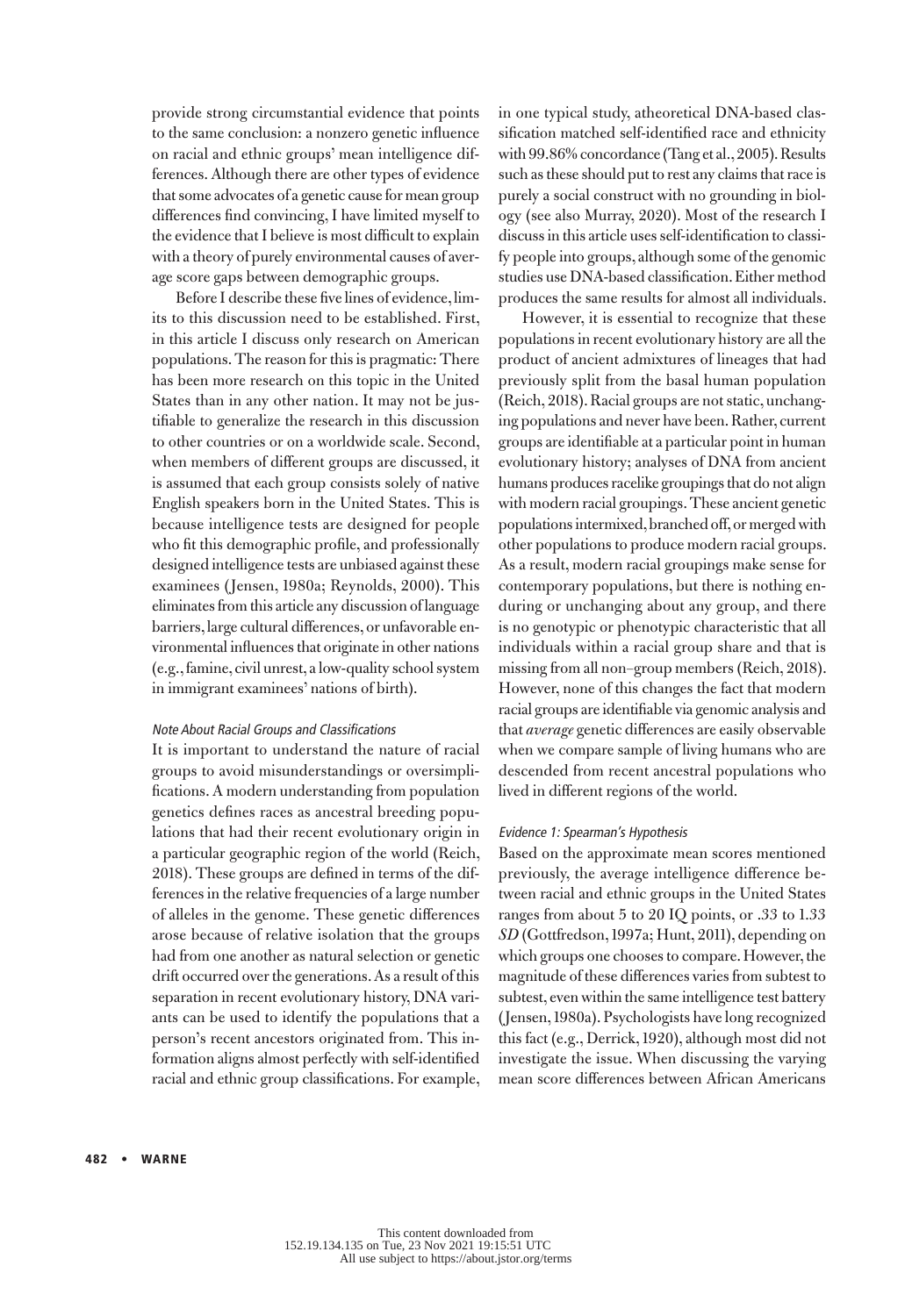provide strong circumstantial evidence that points to the same conclusion: a nonzero genetic influence on racial and ethnic groups' mean intelligence differences. Although there are other types of evidence that some advocates of a genetic cause for mean group differences find convincing, I have limited myself to the evidence that I believe is most difficult to explain with a theory of purely environmental causes of average score gaps between demographic groups.

Before I describe these five lines of evidence, limits to this discussion need to be established. First, in this article I discuss only research on American populations. The reason for this is pragmatic: There has been more research on this topic in the United States than in any other nation. It may not be justifiable to generalize the research in this discussion to other countries or on a worldwide scale. Second, when members of different groups are discussed, it is assumed that each group consists solely of native English speakers born in the United States. This is because intelligence tests are designed for people who fit this demographic profile, and professionally designed intelligence tests are unbiased against these examinees (Jensen, 1980a; Reynolds, 2000). This eliminates from this article any discussion of language barriers, large cultural differences, or unfavorable environmental influences that originate in other nations (e.g., famine, civil unrest, a low-quality school system in immigrant examinees' nations of birth).

# Note About Racial Groups and Classifications

It is important to understand the nature of racial groups to avoid misunderstandings or oversimplifications. A modern understanding from population genetics defines races as ancestral breeding populations that had their recent evolutionary origin in a particular geographic region of the world (Reich, 2018). These groups are defined in terms of the differences in the relative frequencies of a large number of alleles in the genome. These genetic differences arose because of relative isolation that the groups had from one another as natural selection or genetic drift occurred over the generations. As a result of this separation in recent evolutionary history, DNA variants can be used to identify the populations that a person's recent ancestors originated from. This information aligns almost perfectly with self-identified racial and ethnic group classifications. For example, in one typical study, atheoretical DNA-based classification matched self-identified race and ethnicity with 99.86% concordance (Tang et al., 2005). Results such as these should put to rest any claims that race is purely a social construct with no grounding in biology (see also Murray, 2020). Most of the research I discuss in this article uses self-identification to classify people into groups, although some of the genomic studies use DNA-based classification. Either method produces the same results for almost all individuals.

However, it is essential to recognize that these populations in recent evolutionary history are all the product of ancient admixtures of lineages that had previously split from the basal human population (Reich, 2018). Racial groups are not static, unchanging populations and never have been. Rather, current groups are identifiable at a particular point in human evolutionary history; analyses of DNA from ancient humans produces racelike groupings that do not align with modern racial groupings. These ancient genetic populations intermixed, branched off, or merged with other populations to produce modern racial groups. As a result, modern racial groupings make sense for contemporary populations, but there is nothing enduring or unchanging about any group, and there is no genotypic or phenotypic characteristic that all individuals within a racial group share and that is missing from all non–group members (Reich, 2018). However, none of this changes the fact that modern racial groups are identifiable via genomic analysis and that *average* genetic differences are easily observable when we compare sample of living humans who are descended from recent ancestral populations who lived in different regions of the world.

## Evidence 1: Spearman's Hypothesis

Based on the approximate mean scores mentioned previously, the average intelligence difference between racial and ethnic groups in the United States ranges from about 5 to 20 IQ points, or .33 to 1.33 *SD* (Gottfredson, 1997a; Hunt, 2011), depending on which groups one chooses to compare. However, the magnitude of these differences varies from subtest to subtest, even within the same intelligence test battery (Jensen, 1980a). Psychologists have long recognized this fact (e.g., Derrick, 1920), although most did not investigate the issue. When discussing the varying mean score differences between African Americans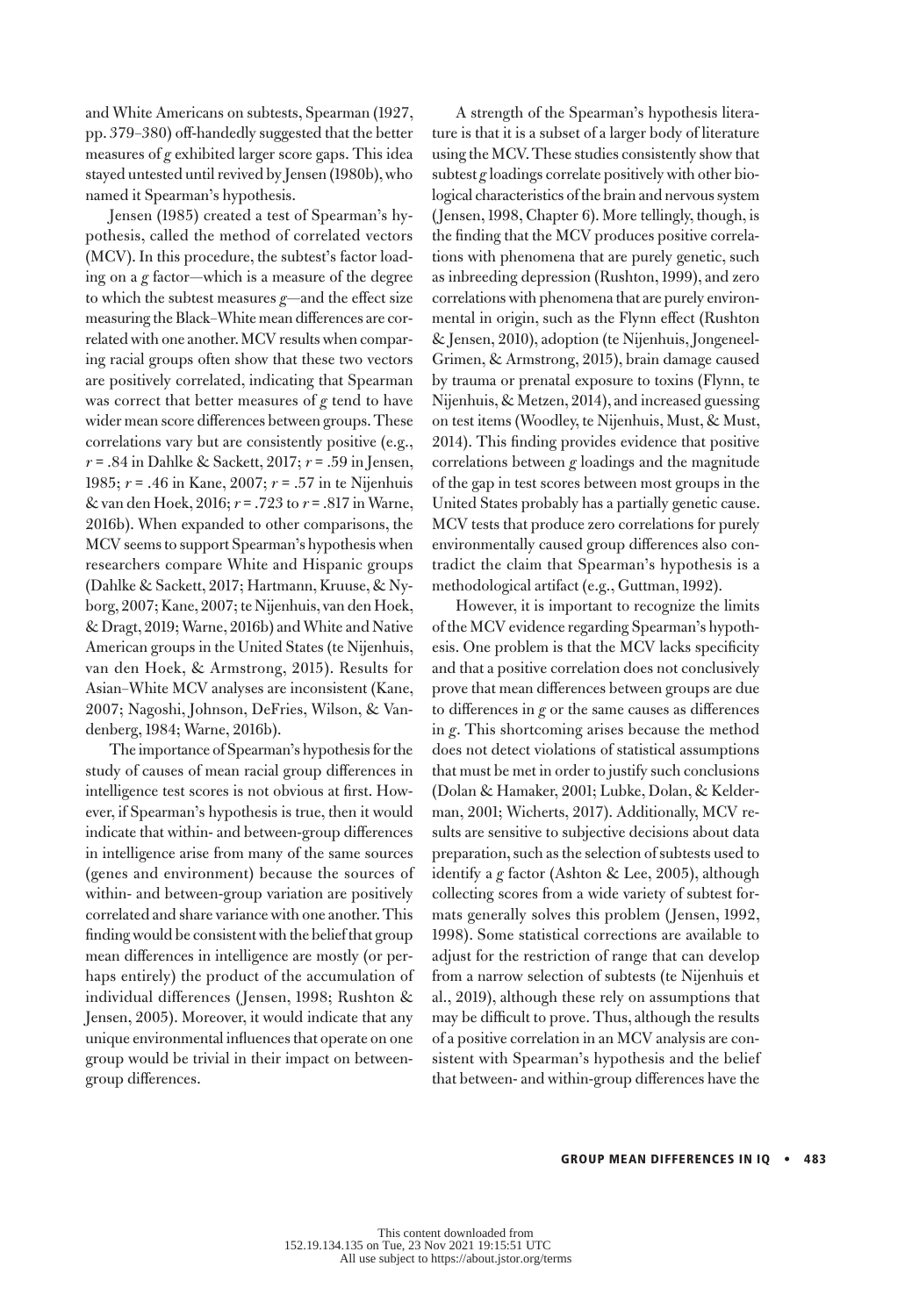and White Americans on subtests, Spearman (1927, pp. 379–380) off-handedly suggested that the better measures of *g* exhibited larger score gaps. This idea stayed untested until revived by Jensen (1980b), who named it Spearman's hypothesis.

Jensen (1985) created a test of Spearman's hypothesis, called the method of correlated vectors (MCV). In this procedure, the subtest's factor loading on a *g* factor—which is a measure of the degree to which the subtest measures *g*—and the effect size measuring the Black–White mean differences are correlated with one another. MCV results when comparing racial groups often show that these two vectors are positively correlated, indicating that Spearman was correct that better measures of *g* tend to have wider mean score differences between groups. These correlations vary but are consistently positive (e.g., *r* = .84 in Dahlke & Sackett, 2017; *r* = .59 in Jensen, 1985; *r* = .46 in Kane, 2007; *r* = .57 in te Nijenhuis & van den Hoek, 2016; *r* = .723 to *r* = .817 in Warne, 2016b). When expanded to other comparisons, the MCV seems to support Spearman's hypothesis when researchers compare White and Hispanic groups (Dahlke & Sackett, 2017; Hartmann, Kruuse, & Nyborg, 2007; Kane, 2007; te Nijenhuis, van den Hoek, & Dragt, 2019; Warne, 2016b) and White and Native American groups in the United States (te Nijenhuis, van den Hoek, & Armstrong, 2015). Results for Asian–White MCV analyses are inconsistent (Kane, 2007; Nagoshi, Johnson, DeFries, Wilson, & Vandenberg, 1984; Warne, 2016b).

The importance of Spearman's hypothesis for the study of causes of mean racial group differences in intelligence test scores is not obvious at first. However, if Spearman's hypothesis is true, then it would indicate that within- and between-group differences in intelligence arise from many of the same sources (genes and environment) because the sources of within- and between-group variation are positively correlated and share variance with one another. This finding would be consistent with the belief that group mean differences in intelligence are mostly (or perhaps entirely) the product of the accumulation of individual differences (Jensen, 1998; Rushton & Jensen, 2005). Moreover, it would indicate that any unique environmental influences that operate on one group would be trivial in their impact on betweengroup differences.

A strength of the Spearman's hypothesis literature is that it is a subset of a larger body of literature using the MCV. These studies consistently show that subtest *g* loadings correlate positively with other biological characteristics of the brain and nervous system (Jensen, 1998, Chapter 6). More tellingly, though, is the finding that the MCV produces positive correlations with phenomena that are purely genetic, such as inbreeding depression (Rushton, 1999), and zero correlations with phenomena that are purely environmental in origin, such as the Flynn effect (Rushton & Jensen, 2010), adoption (te Nijenhuis, Jongeneel-Grimen, & Armstrong, 2015), brain damage caused by trauma or prenatal exposure to toxins (Flynn, te Nijenhuis, & Metzen, 2014), and increased guessing on test items (Woodley, te Nijenhuis, Must, & Must, 2014). This finding provides evidence that positive correlations between *g* loadings and the magnitude of the gap in test scores between most groups in the United States probably has a partially genetic cause. MCV tests that produce zero correlations for purely environmentally caused group differences also contradict the claim that Spearman's hypothesis is a methodological artifact (e.g., Guttman, 1992).

However, it is important to recognize the limits of the MCV evidence regarding Spearman's hypothesis. One problem is that the MCV lacks specificity and that a positive correlation does not conclusively prove that mean differences between groups are due to differences in *g* or the same causes as differences in *g*. This shortcoming arises because the method does not detect violations of statistical assumptions that must be met in order to justify such conclusions (Dolan & Hamaker, 2001; Lubke, Dolan, & Kelderman, 2001; Wicherts, 2017). Additionally, MCV results are sensitive to subjective decisions about data preparation, such as the selection of subtests used to identify a *g* factor (Ashton & Lee, 2005), although collecting scores from a wide variety of subtest formats generally solves this problem (Jensen, 1992, 1998). Some statistical corrections are available to adjust for the restriction of range that can develop from a narrow selection of subtests (te Nijenhuis et al., 2019), although these rely on assumptions that may be difficult to prove. Thus, although the results of a positive correlation in an MCV analysis are consistent with Spearman's hypothesis and the belief that between- and within-group differences have the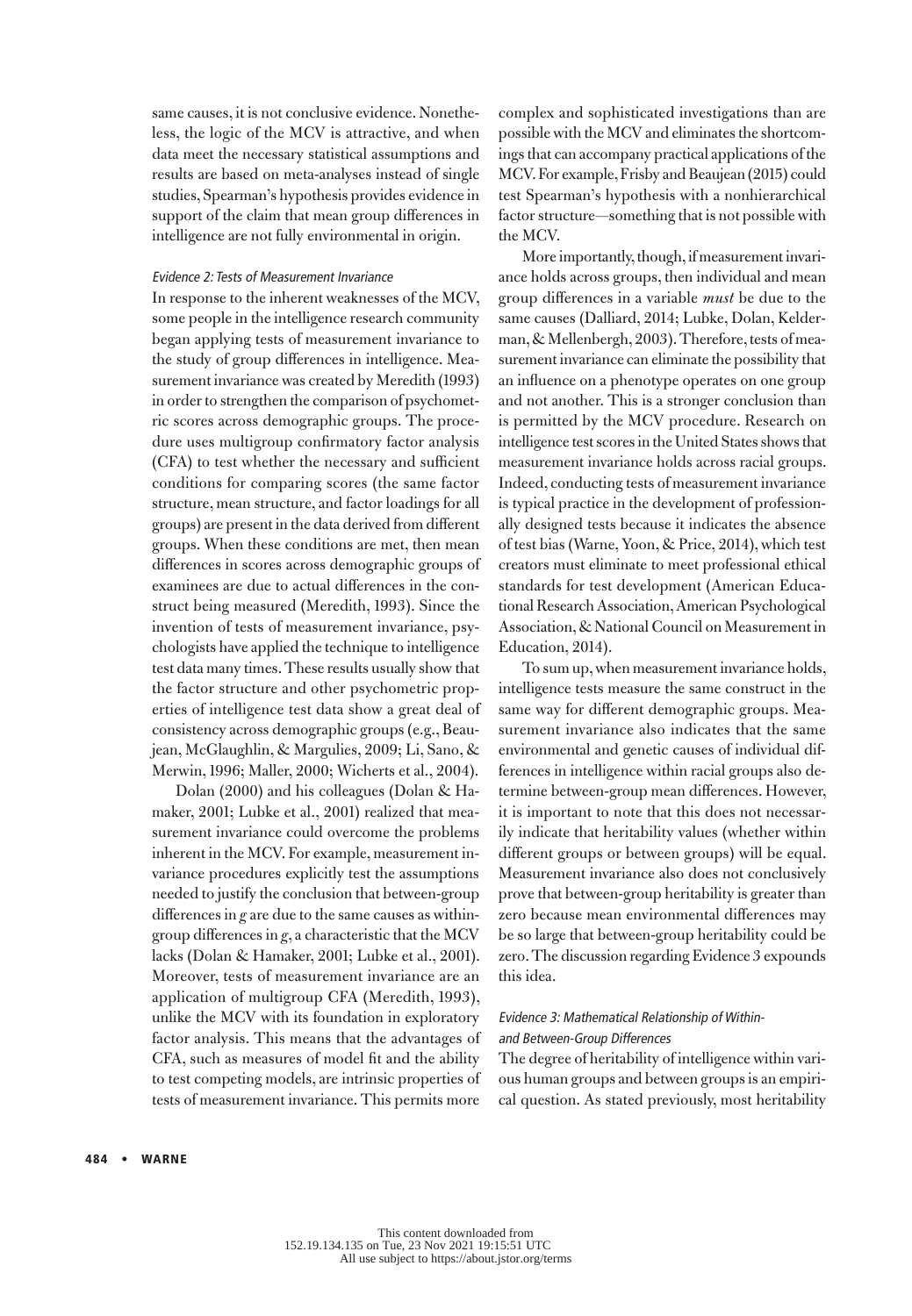same causes, it is not conclusive evidence. Nonetheless, the logic of the MCV is attractive, and when data meet the necessary statistical assumptions and results are based on meta-analyses instead of single studies, Spearman's hypothesis provides evidence in support of the claim that mean group differences in intelligence are not fully environmental in origin.

## Evidence 2: Tests of Measurement Invariance

In response to the inherent weaknesses of the MCV, some people in the intelligence research community began applying tests of measurement invariance to the study of group differences in intelligence. Measurement invariance was created by Meredith (1993) in order to strengthen the comparison of psychometric scores across demographic groups. The procedure uses multigroup confirmatory factor analysis (CFA) to test whether the necessary and sufficient conditions for comparing scores (the same factor structure, mean structure, and factor loadings for all groups) are present in the data derived from different groups. When these conditions are met, then mean differences in scores across demographic groups of examinees are due to actual differences in the construct being measured (Meredith, 1993). Since the invention of tests of measurement invariance, psychologists have applied the technique to intelligence test data many times. These results usually show that the factor structure and other psychometric properties of intelligence test data show a great deal of consistency across demographic groups (e.g., Beaujean, McGlaughlin, & Margulies, 2009; Li, Sano, & Merwin, 1996; Maller, 2000; Wicherts et al., 2004).

Dolan (2000) and his colleagues (Dolan & Hamaker, 2001; Lubke et al., 2001) realized that measurement invariance could overcome the problems inherent in the MCV. For example, measurement invariance procedures explicitly test the assumptions needed to justify the conclusion that between-group differences in *g* are due to the same causes as withingroup differences in *g*, a characteristic that the MCV lacks (Dolan & Hamaker, 2001; Lubke et al., 2001). Moreover, tests of measurement invariance are an application of multigroup CFA (Meredith, 1993), unlike the MCV with its foundation in exploratory factor analysis. This means that the advantages of CFA, such as measures of model fit and the ability to test competing models, are intrinsic properties of tests of measurement invariance. This permits more

complex and sophisticated investigations than are possible with the MCV and eliminates the shortcomings that can accompany practical applications of the MCV. For example, Frisby and Beaujean (2015) could test Spearman's hypothesis with a nonhierarchical factor structure—something that is not possible with the MCV.

More importantly, though, if measurement invariance holds across groups, then individual and mean group differences in a variable *must* be due to the same causes (Dalliard, 2014; Lubke, Dolan, Kelderman, & Mellenbergh, 2003). Therefore, tests of measurement invariance can eliminate the possibility that an influence on a phenotype operates on one group and not another. This is a stronger conclusion than is permitted by the MCV procedure. Research on intelligence test scores in the United States shows that measurement invariance holds across racial groups. Indeed, conducting tests of measurement invariance is typical practice in the development of professionally designed tests because it indicates the absence of test bias (Warne, Yoon, & Price, 2014), which test creators must eliminate to meet professional ethical standards for test development (American Educational Research Association, American Psychological Association, & National Council on Measurement in Education, 2014).

To sum up, when measurement invariance holds, intelligence tests measure the same construct in the same way for different demographic groups. Measurement invariance also indicates that the same environmental and genetic causes of individual differences in intelligence within racial groups also determine between-group mean differences. However, it is important to note that this does not necessarily indicate that heritability values (whether within different groups or between groups) will be equal. Measurement invariance also does not conclusively prove that between-group heritability is greater than zero because mean environmental differences may be so large that between-group heritability could be zero. The discussion regarding Evidence 3 expounds this idea.

# Evidence 3: Mathematical Relationship of Withinand Between-Group Differences

The degree of heritability of intelligence within various human groups and between groups is an empirical question. As stated previously, most heritability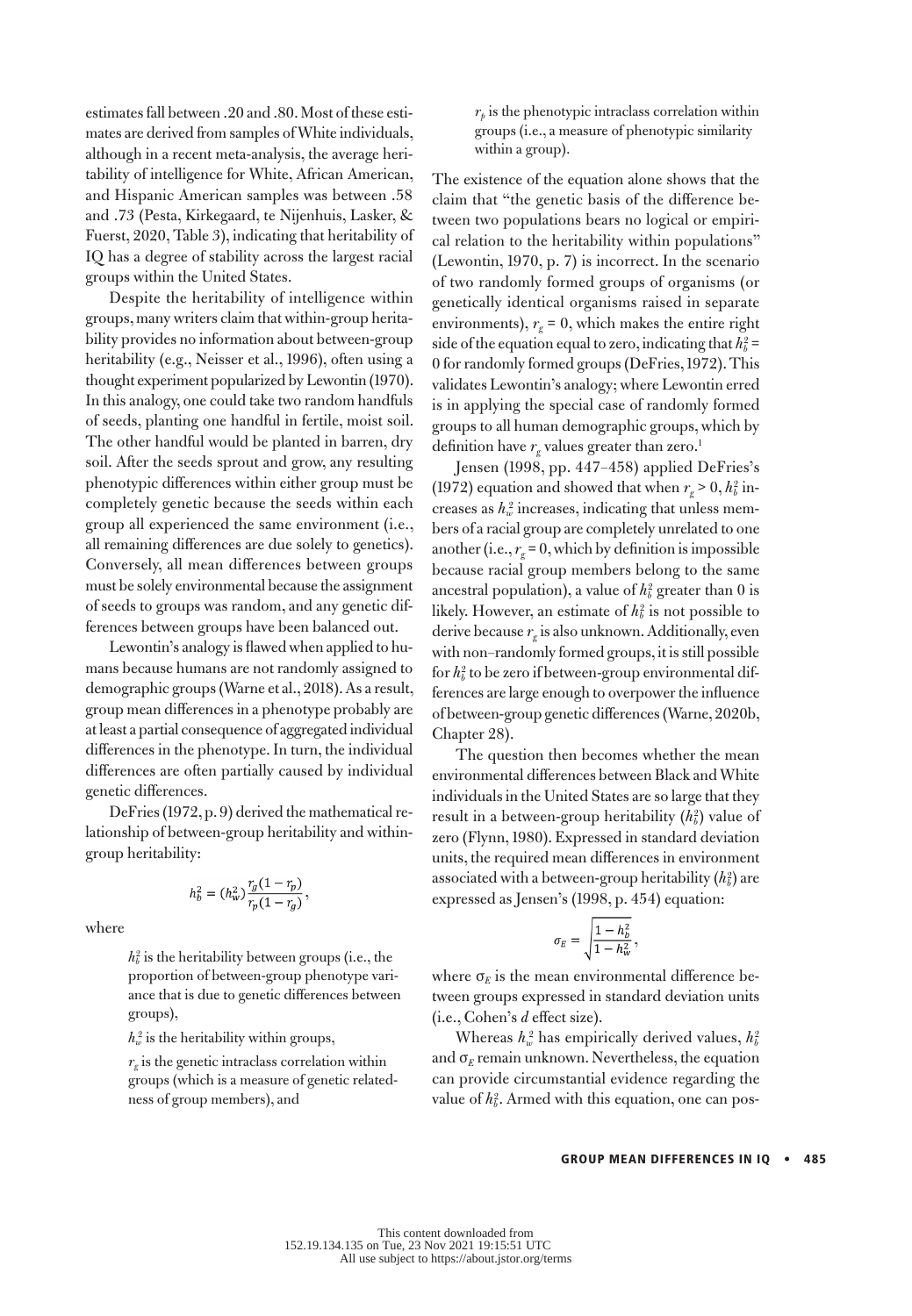estimates fall between .20 and .80. Most of these estimates are derived from samples of White individuals, although in a recent meta-analysis, the average heritability of intelligence for White, African American, and Hispanic American samples was between .58 and .73 (Pesta, Kirkegaard, te Nijenhuis, Lasker, & Fuerst, 2020, Table 3), indicating that heritability of IQ has a degree of stability across the largest racial groups within the United States.

Despite the heritability of intelligence within groups, many writers claim that within-group heritability provides no information about between-group heritability (e.g., Neisser et al., 1996), often using a thought experiment popularized by Lewontin (1970). In this analogy, one could take two random handfuls of seeds, planting one handful in fertile, moist soil. The other handful would be planted in barren, dry soil. After the seeds sprout and grow, any resulting phenotypic differences within either group must be completely genetic because the seeds within each group all experienced the same environment (i.e., all remaining differences are due solely to genetics). Conversely, all mean differences between groups must be solely environmental because the assignment of seeds to groups was random, and any genetic differences between groups have been balanced out.

Lewontin's analogy is flawed when applied to humans because humans are not randomly assigned to demographic groups (Warne et al., 2018). As a result, group mean differences in a phenotype probably are at least a partial consequence of aggregated individual differences in the phenotype. In turn, the individual differences are often partially caused by individual genetic differences.

DeFries (1972, p. 9) derived the mathematical relationship of between-group heritability and withingroup heritability:

$$
h_b^2 = (h_w^2) \frac{r_g(1 - r_p)}{r_p(1 - r_g)},
$$

where

 $h_b^2$  is the heritability between groups (i.e., the proportion of between-group phenotype variance that is due to genetic differences between groups),

 $h_w^2$  is the heritability within groups,

 $r<sub>e</sub>$  is the genetic intraclass correlation within groups (which is a measure of genetic relatedness of group members), and



The existence of the equation alone shows that the claim that "the genetic basis of the difference between two populations bears no logical or empirical relation to the heritability within populations" (Lewontin, 1970, p. 7) is incorrect. In the scenario of two randomly formed groups of organisms (or genetically identical organisms raised in separate environments),  $r_g = 0$ , which makes the entire right side of the equation equal to zero, indicating that  $h_b^2$  = 0 for randomly formed groups (DeFries, 1972). This validates Lewontin's analogy; where Lewontin erred is in applying the special case of randomly formed groups to all human demographic groups, which by definition have  $r_{\rm g}$  values greater than zero.<sup>1</sup>

Jensen (1998, pp. 447–458) applied DeFries's (1972) equation and showed that when  $r_g > 0$ ,  $h_b^2$  increases as  $h_w^2$  increases, indicating that unless members of a racial group are completely unrelated to one another (i.e.,  $r_e = 0$ , which by definition is impossible because racial group members belong to the same ancestral population), a value of  $h_b^2$  greater than 0 is likely. However, an estimate of  $h_b^2$  is not possible to derive because  $r_g$  is also unknown. Additionally, even with non–randomly formed groups, it is still possible for  $h_b^2$  to be zero if between-group environmental differences are large enough to overpower the influence of between-group genetic differences (Warne, 2020b, Chapter 28).

The question then becomes whether the mean environmental differences between Black and White individuals in the United States are so large that they result in a between-group heritability ( $h_b^2$ ) value of zero (Flynn, 1980). Expressed in standard deviation units, the required mean differences in environment associated with a between-group heritability  $(h_b^2)$  are expressed as Jensen's (1998, p. 454) equation:

$$
\sigma_E = \sqrt{\frac{1 - h_b^2}{1 - h_w^2}}\,,
$$

where  $\sigma_E$  is the mean environmental difference between groups expressed in standard deviation units (i.e., Cohen's *d* effect size).

Whereas  $h_w^2$  has empirically derived values,  $h_b^2$ and  $\sigma_E$  remain unknown. Nevertheless, the equation can provide circumstantial evidence regarding the value of  $h_b^2$ . Armed with this equation, one can pos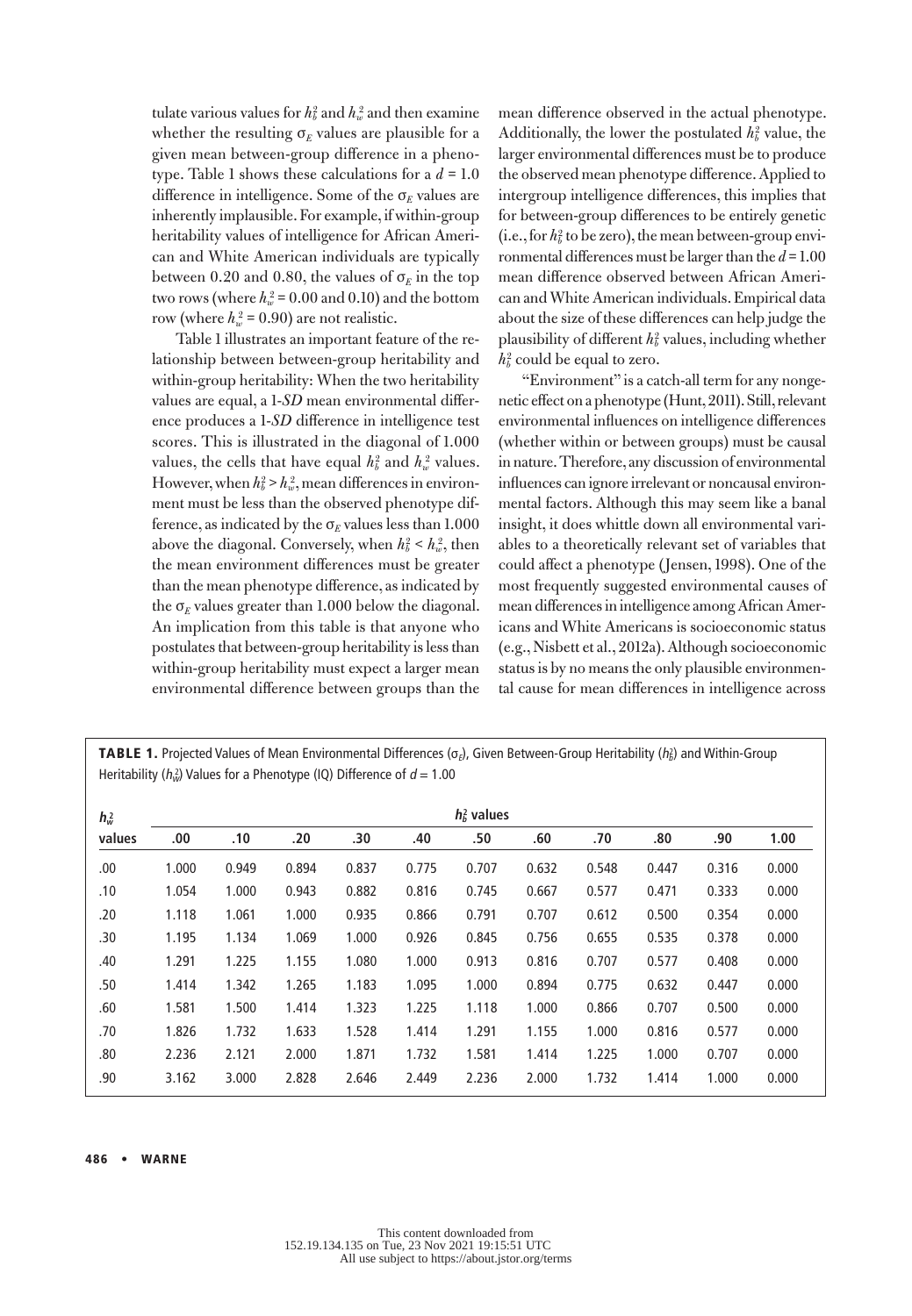tulate various values for  $h_b^2$  and  $h_w^2$  and then examine whether the resulting  $\sigma_F$  values are plausible for a given mean between-group difference in a phenotype. Table 1 shows these calculations for a  $d = 1.0$ difference in intelligence. Some of the  $\sigma_F$  values are inherently implausible. For example, if within-group heritability values of intelligence for African American and White American individuals are typically between 0.20 and 0.80, the values of  $\sigma_{E}$  in the top two rows (where  $h_w^2$  = 0.00 and 0.10) and the bottom row (where  $h_w^2$  = 0.90) are not realistic.

Table 1 illustrates an important feature of the relationship between between-group heritability and within-group heritability: When the two heritability values are equal, a 1-*SD* mean environmental difference produces a 1-*SD* difference in intelligence test scores. This is illustrated in the diagonal of 1.000 values, the cells that have equal  $h_b^2$  and  $h_w^2$  values. However, when  $h_b^2 > h_w^2$ , mean differences in environment must be less than the observed phenotype difference, as indicated by the  $\sigma_F$  values less than 1.000 above the diagonal. Conversely, when  $h_b^2 < h_w^2$ , then the mean environment differences must be greater than the mean phenotype difference, as indicated by the  $\sigma_E$  values greater than 1.000 below the diagonal. An implication from this table is that anyone who postulates that between-group heritability is less than within-group heritability must expect a larger mean environmental difference between groups than the

mean difference observed in the actual phenotype. Additionally, the lower the postulated  $h_b^2$  value, the larger environmental differences must be to produce the observed mean phenotype difference. Applied to intergroup intelligence differences, this implies that for between-group differences to be entirely genetic (i.e., for  $h_b^2$  to be zero), the mean between-group environmental differences must be larger than the *d* = 1.00 mean difference observed between African American and White American individuals. Empirical data about the size of these differences can help judge the plausibility of different  $h_b^2$  values, including whether  $h_b^2$  could be equal to zero.

"Environment" is a catch-all term for any nongenetic effect on a phenotype (Hunt, 2011). Still, relevant environmental influences on intelligence differences (whether within or between groups) must be causal in nature. Therefore, any discussion of environmental influences can ignore irrelevant or noncausal environmental factors. Although this may seem like a banal insight, it does whittle down all environmental variables to a theoretically relevant set of variables that could affect a phenotype (Jensen, 1998). One of the most frequently suggested environmental causes of mean differences in intelligence among African Americans and White Americans is socioeconomic status (e.g., Nisbett et al., 2012a). Although socioeconomic status is by no means the only plausible environmental cause for mean differences in intelligence across

| $h_w^2$ | $hb$ values |       |       |       |       |       |       |       |       |       |       |
|---------|-------------|-------|-------|-------|-------|-------|-------|-------|-------|-------|-------|
| values  | .00.        | .10   | .20   | .30   | .40   | .50   | .60   | .70   | .80   | .90   | 1.00  |
| .00     | 1.000       | 0.949 | 0.894 | 0.837 | 0.775 | 0.707 | 0.632 | 0.548 | 0.447 | 0.316 | 0.000 |
| .10     | 1.054       | 1.000 | 0.943 | 0.882 | 0.816 | 0.745 | 0.667 | 0.577 | 0.471 | 0.333 | 0.000 |
| .20     | 1.118       | 1.061 | 1.000 | 0.935 | 0.866 | 0.791 | 0.707 | 0.612 | 0.500 | 0.354 | 0.000 |
| .30     | 1.195       | 1.134 | 1.069 | 1.000 | 0.926 | 0.845 | 0.756 | 0.655 | 0.535 | 0.378 | 0.000 |
| .40     | 1.291       | 1.225 | 1.155 | 1.080 | 1.000 | 0.913 | 0.816 | 0.707 | 0.577 | 0.408 | 0.000 |
| .50     | 1.414       | 1.342 | 1.265 | 1.183 | 1.095 | 1.000 | 0.894 | 0.775 | 0.632 | 0.447 | 0.000 |
| .60     | 1.581       | 1.500 | 1.414 | 1.323 | 1.225 | 1.118 | 1.000 | 0.866 | 0.707 | 0.500 | 0.000 |
| .70     | 1.826       | 1.732 | 1.633 | 1.528 | 1.414 | 1.291 | 1.155 | 1.000 | 0.816 | 0.577 | 0.000 |
| .80     | 2.236       | 2.121 | 2.000 | 1.871 | 1.732 | 1.581 | 1.414 | 1.225 | 1.000 | 0.707 | 0.000 |
| .90     | 3.162       | 3.000 | 2.828 | 2.646 | 2.449 | 2.236 | 2.000 | 1.732 | 1.414 | 1.000 | 0.000 |

**TABLE 1.** Projected Values of Mean Environmental Differences ( $\sigma_E$ ), Given Between-Group Heritability ( $h_E^2$ ) and Within-Group Heritability ( $h_w^2$ ) Values for a Phenotype (IQ) Difference of  $d = 1.00$ 

#### 486 • WARNE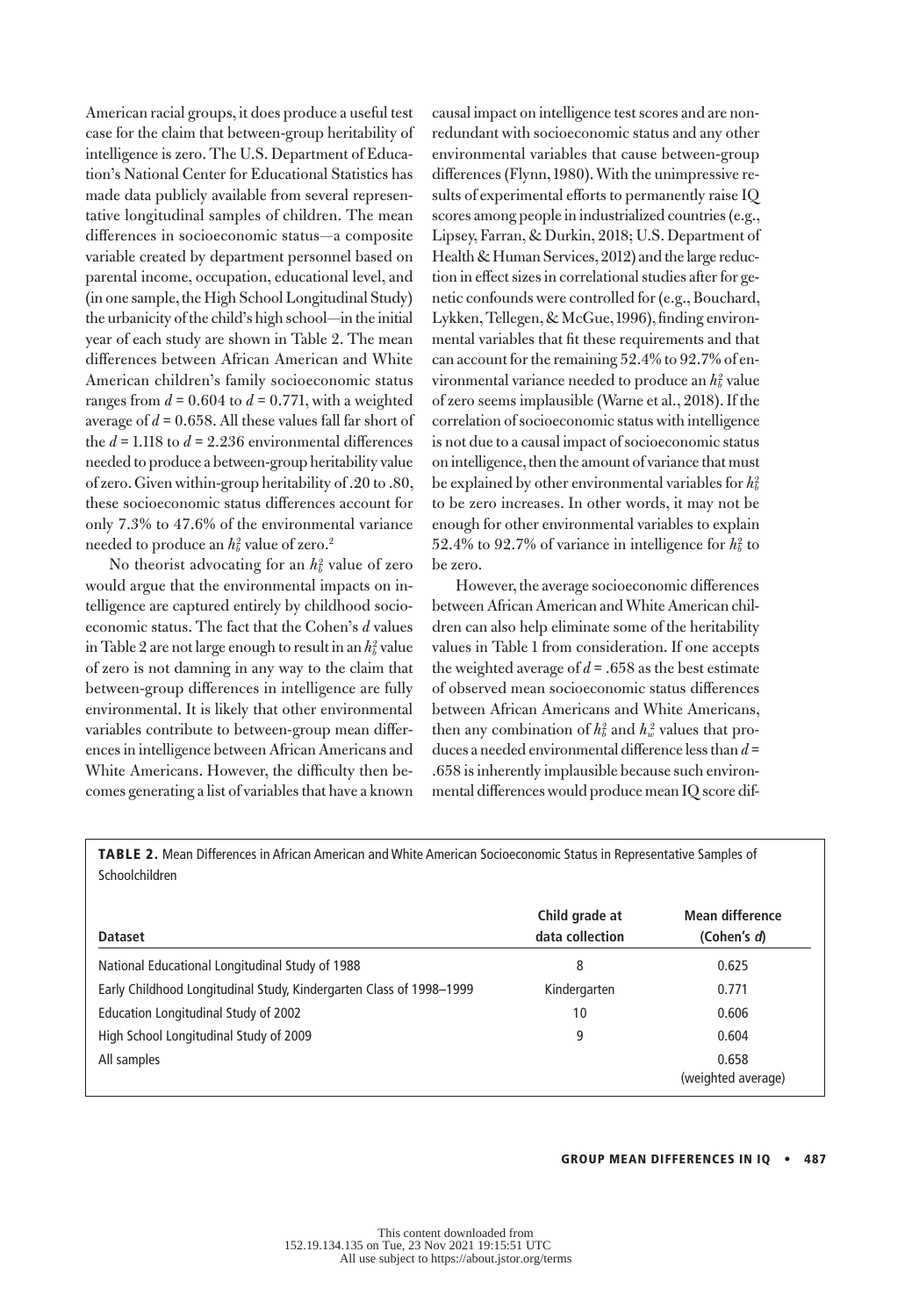American racial groups, it does produce a useful test case for the claim that between-group heritability of intelligence is zero. The U.S. Department of Education's National Center for Educational Statistics has made data publicly available from several representative longitudinal samples of children. The mean differences in socioeconomic status—a composite variable created by department personnel based on parental income, occupation, educational level, and (in one sample, the High School Longitudinal Study) the urbanicity of the child's high school—in the initial year of each study are shown in Table 2. The mean differences between African American and White American children's family socioeconomic status ranges from  $d = 0.604$  to  $d = 0.771$ , with a weighted average of *d* = 0.658. All these values fall far short of the  $d = 1.118$  to  $d = 2.236$  environmental differences needed to produce a between-group heritability value of zero. Given within-group heritability of .20 to .80, these socioeconomic status differences account for only 7.3% to 47.6% of the environmental variance needed to produce an  $h_b^2$  value of zero.<sup>2</sup>

No theorist advocating for an  $h_b^2$  value of zero would argue that the environmental impacts on intelligence are captured entirely by childhood socioeconomic status. The fact that the Cohen's *d* values in Table 2 are not large enough to result in an  $h_b^2$  value of zero is not damning in any way to the claim that between-group differences in intelligence are fully environmental. It is likely that other environmental variables contribute to between-group mean differences in intelligence between African Americans and White Americans. However, the difficulty then becomes generating a list of variables that have a known

causal impact on intelligence test scores and are nonredundant with socioeconomic status and any other environmental variables that cause between-group differences (Flynn, 1980). With the unimpressive results of experimental efforts to permanently raise IQ scores among people in industrialized countries (e.g., Lipsey, Farran, & Durkin, 2018; U.S. Department of Health & Human Services, 2012) and the large reduction in effect sizes in correlational studies after for genetic confounds were controlled for (e.g., Bouchard, Lykken, Tellegen, & McGue, 1996), finding environmental variables that fit these requirements and that can account for the remaining 52.4% to 92.7% of environmental variance needed to produce an  $h_b^2$  value of zero seems implausible (Warne et al., 2018). If the correlation of socioeconomic status with intelligence is not due to a causal impact of socioeconomic status on intelligence, then the amount of variance that must be explained by other environmental variables for  $h_b^2$ to be zero increases. In other words, it may not be enough for other environmental variables to explain 52.4% to 92.7% of variance in intelligence for  $h_b^2$  to be zero.

However, the average socioeconomic differences between African American and White American children can also help eliminate some of the heritability values in Table 1 from consideration. If one accepts the weighted average of  $d = .658$  as the best estimate of observed mean socioeconomic status differences between African Americans and White Americans, then any combination of  $h_b^2$  and  $h_w^2$  values that produces a needed environmental difference less than *d* = .658 is inherently implausible because such environmental differences would produce mean IQ score dif-

TABLE 2. Mean Differences in African American and White American Socioeconomic Status in Representative Samples of Schoolchildren

| <b>Dataset</b>                                                      | Child grade at<br>data collection | Mean difference<br>(Cohen's d) |
|---------------------------------------------------------------------|-----------------------------------|--------------------------------|
| National Educational Longitudinal Study of 1988                     | 8                                 | 0.625                          |
| Early Childhood Longitudinal Study, Kindergarten Class of 1998-1999 | Kindergarten                      | 0.771                          |
| Education Longitudinal Study of 2002                                | 10                                | 0.606                          |
| High School Longitudinal Study of 2009                              | 9                                 | 0.604                          |
| All samples                                                         |                                   | 0.658<br>(weighted average)    |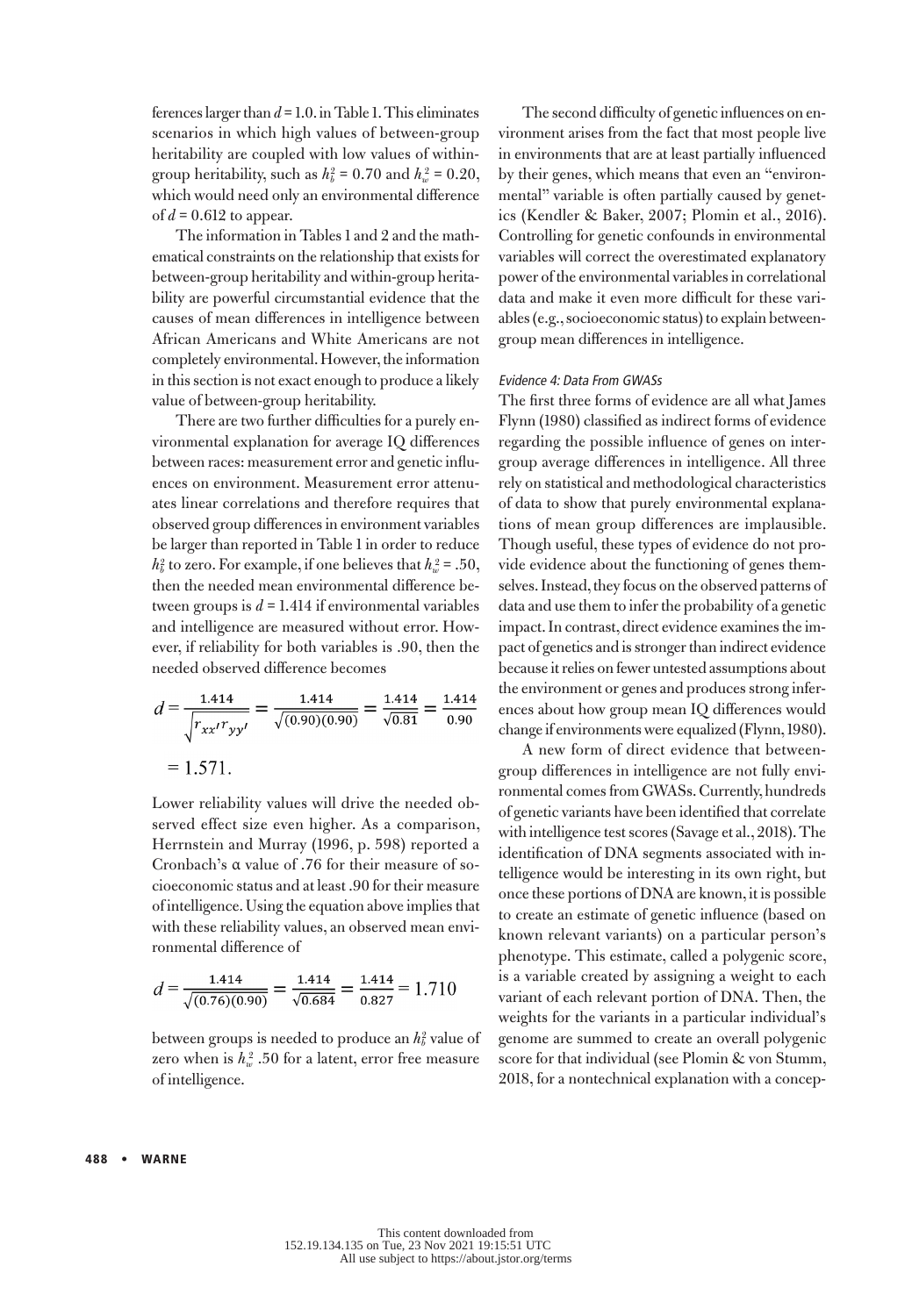ferences larger than *d* = 1.0. in Table 1. This eliminates scenarios in which high values of between-group heritability are coupled with low values of withingroup heritability, such as  $h_b^2 = 0.70$  and  $h_w^2 = 0.20$ , which would need only an environmental difference of  $d = 0.612$  to appear.

The information in Tables 1 and 2 and the mathematical constraints on the relationship that exists for between-group heritability and within-group heritability are powerful circumstantial evidence that the causes of mean differences in intelligence between African Americans and White Americans are not completely environmental. However, the information in this section is not exact enough to produce a likely value of between-group heritability.

There are two further difficulties for a purely environmental explanation for average IQ differences between races: measurement error and genetic influences on environment. Measurement error attenuates linear correlations and therefore requires that observed group differences in environment variables be larger than reported in Table 1 in order to reduce  $h_b^2$  to zero. For example, if one believes that  $h_w^2 = .50$ , then the needed mean environmental difference between groups is  $d = 1.414$  if environmental variables and intelligence are measured without error. However, if reliability for both variables is .90, then the needed observed difference becomes

$$
d = \frac{1.414}{\sqrt{r_{xx'}r_{yy'}}} = \frac{1.414}{\sqrt{(0.90)(0.90)}} = \frac{1.414}{\sqrt{0.81}} = \frac{1.414}{0.90}
$$

$$
= 1.571.
$$

Lower reliability values will drive the needed observed effect size even higher. As a comparison, Herrnstein and Murray (1996, p. 598) reported a Cronbach's α value of .76 for their measure of socioeconomic status and at least .90 for their measure of intelligence. Using the equation above implies that with these reliability values, an observed mean environmental difference of

$$
d = \frac{1.414}{\sqrt{(0.76)(0.90)}} = \frac{1.414}{\sqrt{0.684}} = \frac{1.414}{0.827} = 1.710
$$

between groups is needed to produce an  $h_b^2$  value of zero when is  $h_w^2$  .50 for a latent, error free measure of intelligence.

The second difficulty of genetic influences on environment arises from the fact that most people live in environments that are at least partially influenced by their genes, which means that even an "environmental" variable is often partially caused by genetics (Kendler & Baker, 2007; Plomin et al., 2016). Controlling for genetic confounds in environmental variables will correct the overestimated explanatory power of the environmental variables in correlational data and make it even more difficult for these variables (e.g., socioeconomic status) to explain betweengroup mean differences in intelligence.

## Evidence 4: Data From GWASs

The first three forms of evidence are all what James Flynn (1980) classified as indirect forms of evidence regarding the possible influence of genes on intergroup average differences in intelligence. All three rely on statistical and methodological characteristics of data to show that purely environmental explanations of mean group differences are implausible. Though useful, these types of evidence do not provide evidence about the functioning of genes themselves. Instead, they focus on the observed patterns of data and use them to infer the probability of a genetic impact. In contrast, direct evidence examines the impact of genetics and is stronger than indirect evidence because it relies on fewer untested assumptions about the environment or genes and produces strong inferences about how group mean IQ differences would change if environments were equalized (Flynn, 1980).

A new form of direct evidence that betweengroup differences in intelligence are not fully environmental comes from GWASs. Currently, hundreds of genetic variants have been identified that correlate with intelligence test scores (Savage et al., 2018). The identification of DNA segments associated with intelligence would be interesting in its own right, but once these portions of DNA are known, it is possible to create an estimate of genetic influence (based on known relevant variants) on a particular person's phenotype. This estimate, called a polygenic score, is a variable created by assigning a weight to each variant of each relevant portion of DNA. Then, the weights for the variants in a particular individual's genome are summed to create an overall polygenic score for that individual (see Plomin & von Stumm, 2018, for a nontechnical explanation with a concep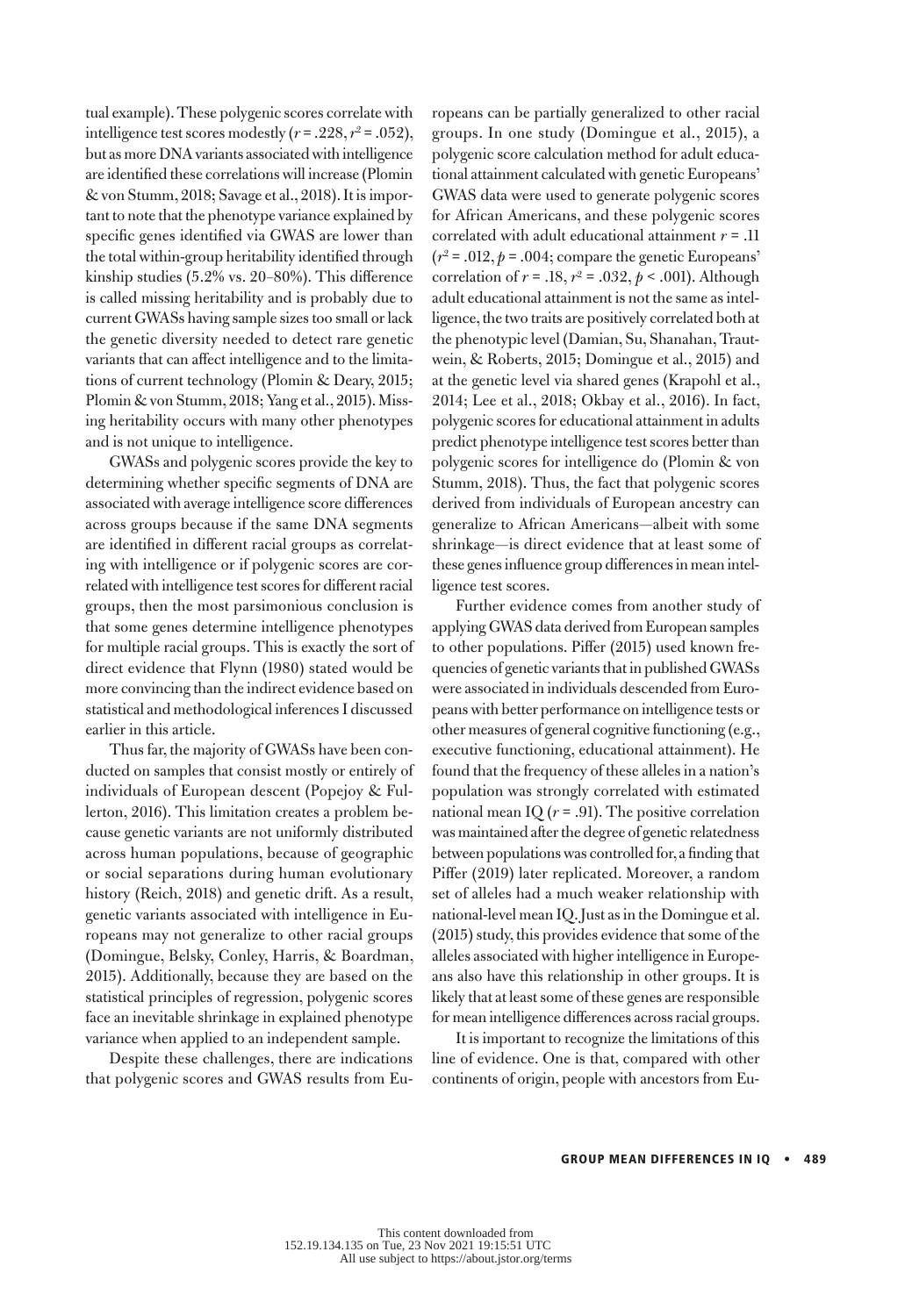tual example). These polygenic scores correlate with intelligence test scores modestly  $(r=.228, r^2=.052),$ but as more DNA variants associated with intelligence are identified these correlations will increase (Plomin & von Stumm, 2018; Savage et al., 2018). It is important to note that the phenotype variance explained by specific genes identified via GWAS are lower than the total within-group heritability identified through kinship studies (5.2% vs. 20–80%). This difference is called missing heritability and is probably due to current GWASs having sample sizes too small or lack the genetic diversity needed to detect rare genetic variants that can affect intelligence and to the limitations of current technology (Plomin & Deary, 2015; Plomin & von Stumm, 2018; Yang et al., 2015). Missing heritability occurs with many other phenotypes and is not unique to intelligence.

GWASs and polygenic scores provide the key to determining whether specific segments of DNA are associated with average intelligence score differences across groups because if the same DNA segments are identified in different racial groups as correlating with intelligence or if polygenic scores are correlated with intelligence test scores for different racial groups, then the most parsimonious conclusion is that some genes determine intelligence phenotypes for multiple racial groups. This is exactly the sort of direct evidence that Flynn (1980) stated would be more convincing than the indirect evidence based on statistical and methodological inferences I discussed earlier in this article.

Thus far, the majority of GWASs have been conducted on samples that consist mostly or entirely of individuals of European descent (Popejoy & Fullerton, 2016). This limitation creates a problem because genetic variants are not uniformly distributed across human populations, because of geographic or social separations during human evolutionary history (Reich, 2018) and genetic drift. As a result, genetic variants associated with intelligence in Europeans may not generalize to other racial groups (Domingue, Belsky, Conley, Harris, & Boardman, 2015). Additionally, because they are based on the statistical principles of regression, polygenic scores face an inevitable shrinkage in explained phenotype variance when applied to an independent sample.

Despite these challenges, there are indications that polygenic scores and GWAS results from Europeans can be partially generalized to other racial groups. In one study (Domingue et al., 2015), a polygenic score calculation method for adult educational attainment calculated with genetic Europeans' GWAS data were used to generate polygenic scores for African Americans, and these polygenic scores correlated with adult educational attainment *r* = .11  $(r^2 = .012, p = .004;$  compare the genetic Europeans' correlation of  $r = .18$ ,  $r^2 = .032$ ,  $p < .001$ ). Although adult educational attainment is not the same as intelligence, the two traits are positively correlated both at the phenotypic level (Damian, Su, Shanahan, Trautwein, & Roberts, 2015; Domingue et al., 2015) and at the genetic level via shared genes (Krapohl et al., 2014; Lee et al., 2018; Okbay et al., 2016). In fact, polygenic scores for educational attainment in adults predict phenotype intelligence test scores better than polygenic scores for intelligence do (Plomin & von Stumm, 2018). Thus, the fact that polygenic scores derived from individuals of European ancestry can generalize to African Americans—albeit with some shrinkage—is direct evidence that at least some of these genes influence group differences in mean intelligence test scores.

Further evidence comes from another study of applying GWAS data derived from European samples to other populations. Piffer (2015) used known frequencies of genetic variants that in published GWASs were associated in individuals descended from Europeans with better performance on intelligence tests or other measures of general cognitive functioning (e.g., executive functioning, educational attainment). He found that the frequency of these alleles in a nation's population was strongly correlated with estimated national mean IQ  $(r = .91)$ . The positive correlation was maintained after the degree of genetic relatedness between populations was controlled for, a finding that Piffer (2019) later replicated. Moreover, a random set of alleles had a much weaker relationship with national-level mean IQ. Just as in the Domingue et al. (2015) study, this provides evidence that some of the alleles associated with higher intelligence in Europeans also have this relationship in other groups. It is likely that at least some of these genes are responsible for mean intelligence differences across racial groups.

It is important to recognize the limitations of this line of evidence. One is that, compared with other continents of origin, people with ancestors from Eu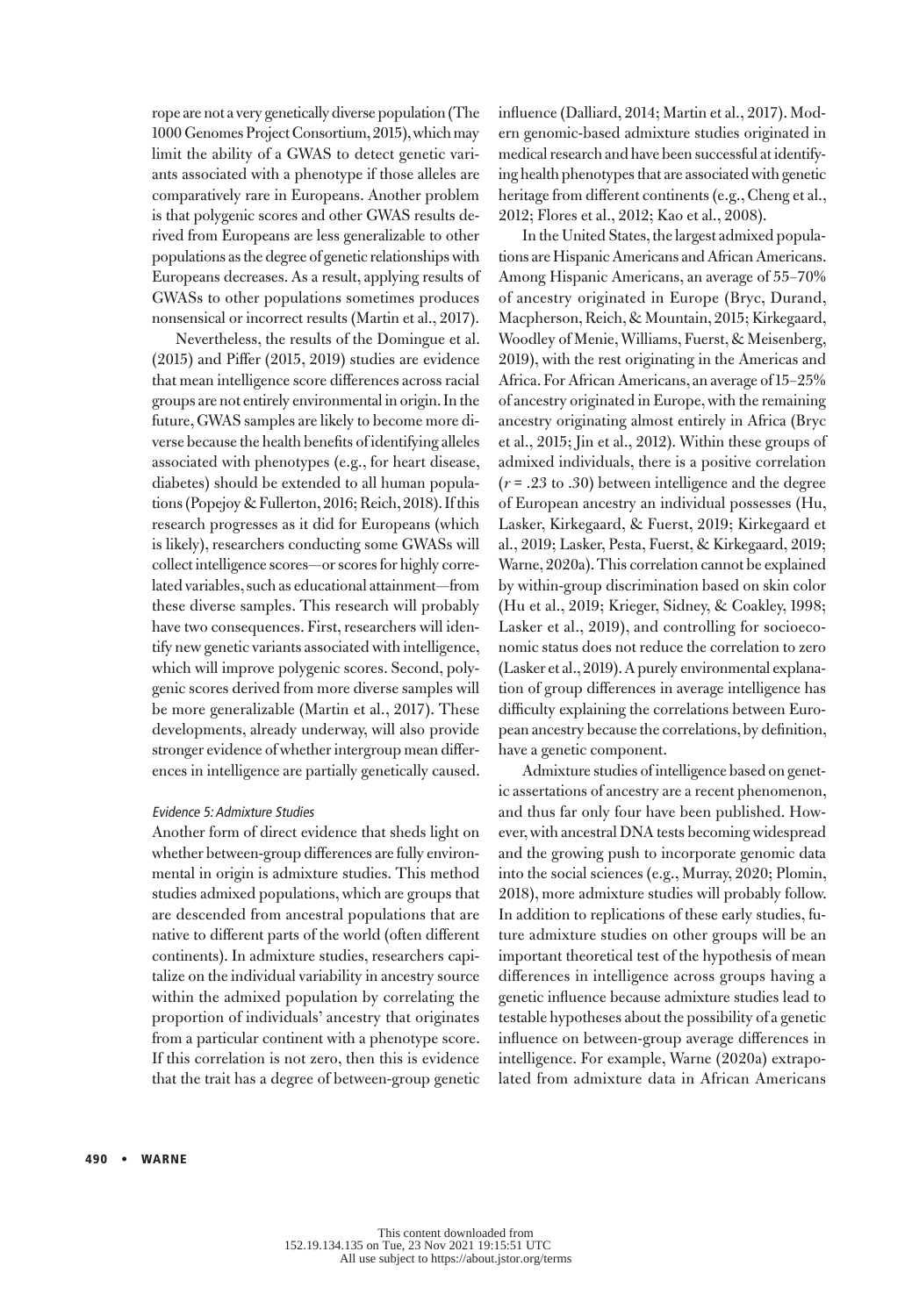rope are not a very genetically diverse population (The 1000 Genomes Project Consortium, 2015), which may limit the ability of a GWAS to detect genetic variants associated with a phenotype if those alleles are comparatively rare in Europeans. Another problem is that polygenic scores and other GWAS results derived from Europeans are less generalizable to other populations as the degree of genetic relationships with Europeans decreases. As a result, applying results of GWASs to other populations sometimes produces nonsensical or incorrect results (Martin et al., 2017).

Nevertheless, the results of the Domingue et al. (2015) and Piffer (2015, 2019) studies are evidence that mean intelligence score differences across racial groups are not entirely environmental in origin. In the future, GWAS samples are likely to become more diverse because the health benefits of identifying alleles associated with phenotypes (e.g., for heart disease, diabetes) should be extended to all human populations (Popejoy & Fullerton, 2016; Reich, 2018). If this research progresses as it did for Europeans (which is likely), researchers conducting some GWASs will collect intelligence scores—or scores for highly correlated variables, such as educational attainment—from these diverse samples. This research will probably have two consequences. First, researchers will identify new genetic variants associated with intelligence, which will improve polygenic scores. Second, polygenic scores derived from more diverse samples will be more generalizable (Martin et al., 2017). These developments, already underway, will also provide stronger evidence of whether intergroup mean differences in intelligence are partially genetically caused.

# Evidence 5: Admixture Studies

Another form of direct evidence that sheds light on whether between-group differences are fully environmental in origin is admixture studies. This method studies admixed populations, which are groups that are descended from ancestral populations that are native to different parts of the world (often different continents). In admixture studies, researchers capitalize on the individual variability in ancestry source within the admixed population by correlating the proportion of individuals' ancestry that originates from a particular continent with a phenotype score. If this correlation is not zero, then this is evidence that the trait has a degree of between-group genetic influence (Dalliard, 2014; Martin et al., 2017). Modern genomic-based admixture studies originated in medical research and have been successful at identifying health phenotypes that are associated with genetic heritage from different continents (e.g., Cheng et al., 2012; Flores et al., 2012; Kao et al., 2008).

In the United States, the largest admixed populations are Hispanic Americans and African Americans. Among Hispanic Americans, an average of 55–70% of ancestry originated in Europe (Bryc, Durand, Macpherson, Reich, & Mountain, 2015; Kirkegaard, Woodley of Menie, Williams, Fuerst, & Meisenberg, 2019), with the rest originating in the Americas and Africa. For African Americans, an average of 15–25% of ancestry originated in Europe, with the remaining ancestry originating almost entirely in Africa (Bryc et al., 2015; Jin et al., 2012). Within these groups of admixed individuals, there is a positive correlation (*r* = .23 to .30) between intelligence and the degree of European ancestry an individual possesses (Hu, Lasker, Kirkegaard, & Fuerst, 2019; Kirkegaard et al., 2019; Lasker, Pesta, Fuerst, & Kirkegaard, 2019; Warne, 2020a). This correlation cannot be explained by within-group discrimination based on skin color (Hu et al., 2019; Krieger, Sidney, & Coakley, 1998; Lasker et al., 2019), and controlling for socioeconomic status does not reduce the correlation to zero (Lasker et al., 2019). A purely environmental explanation of group differences in average intelligence has difficulty explaining the correlations between European ancestry because the correlations, by definition, have a genetic component.

Admixture studies of intelligence based on genetic assertations of ancestry are a recent phenomenon, and thus far only four have been published. However, with ancestral DNA tests becoming widespread and the growing push to incorporate genomic data into the social sciences (e.g., Murray, 2020; Plomin, 2018), more admixture studies will probably follow. In addition to replications of these early studies, future admixture studies on other groups will be an important theoretical test of the hypothesis of mean differences in intelligence across groups having a genetic influence because admixture studies lead to testable hypotheses about the possibility of a genetic influence on between-group average differences in intelligence. For example, Warne (2020a) extrapolated from admixture data in African Americans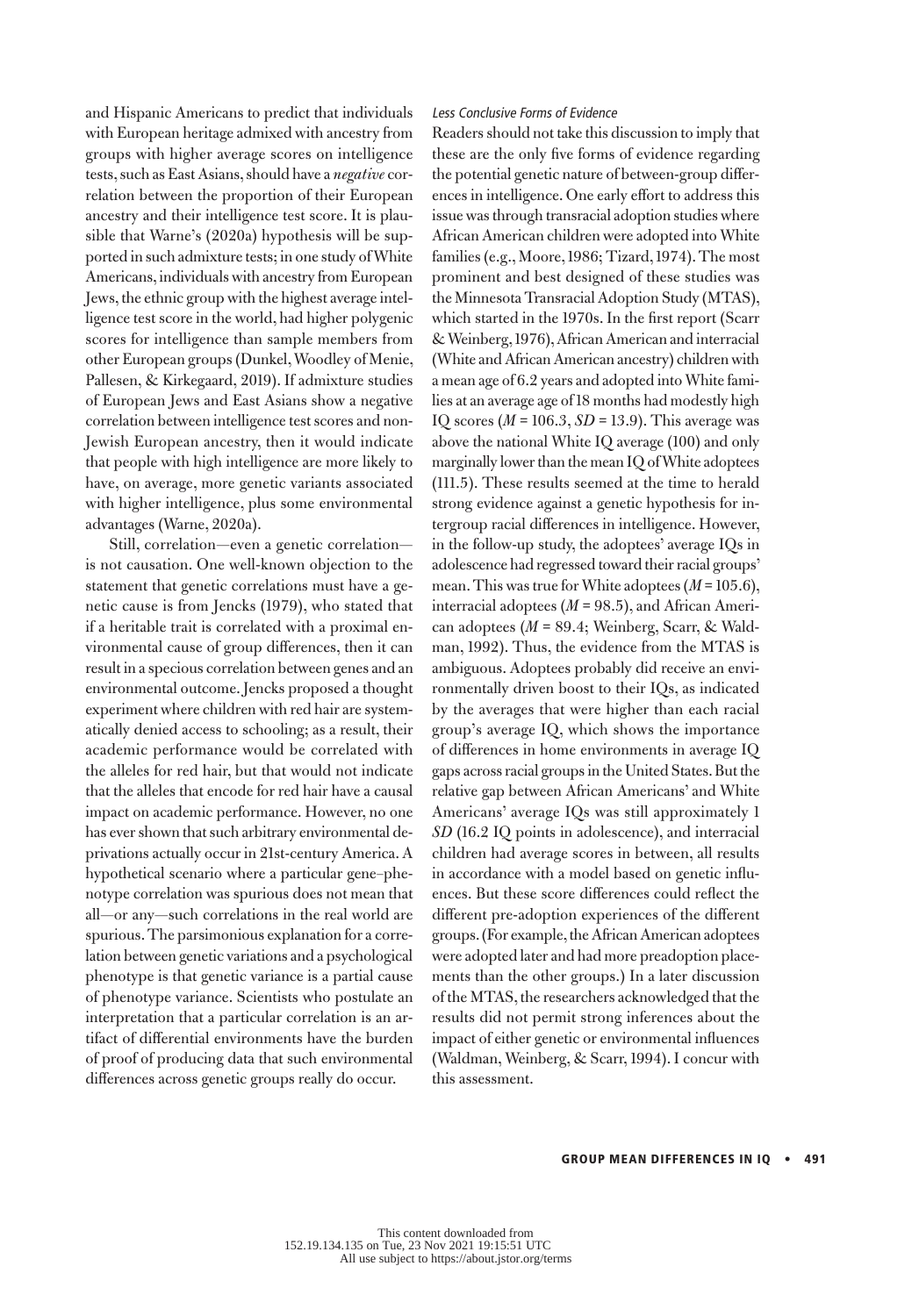and Hispanic Americans to predict that individuals with European heritage admixed with ancestry from groups with higher average scores on intelligence tests, such as East Asians, should have a *negative* correlation between the proportion of their European ancestry and their intelligence test score. It is plausible that Warne's (2020a) hypothesis will be supported in such admixture tests; in one study of White Americans, individuals with ancestry from European Jews, the ethnic group with the highest average intelligence test score in the world, had higher polygenic scores for intelligence than sample members from other European groups (Dunkel, Woodley of Menie, Pallesen, & Kirkegaard, 2019). If admixture studies of European Jews and East Asians show a negative correlation between intelligence test scores and non-Jewish European ancestry, then it would indicate that people with high intelligence are more likely to have, on average, more genetic variants associated with higher intelligence, plus some environmental advantages (Warne, 2020a).

Still, correlation—even a genetic correlation is not causation. One well-known objection to the statement that genetic correlations must have a genetic cause is from Jencks (1979), who stated that if a heritable trait is correlated with a proximal environmental cause of group differences, then it can result in a specious correlation between genes and an environmental outcome. Jencks proposed a thought experiment where children with red hair are systematically denied access to schooling; as a result, their academic performance would be correlated with the alleles for red hair, but that would not indicate that the alleles that encode for red hair have a causal impact on academic performance. However, no one has ever shown that such arbitrary environmental deprivations actually occur in 21st-century America. A hypothetical scenario where a particular gene–phenotype correlation was spurious does not mean that all—or any—such correlations in the real world are spurious. The parsimonious explanation for a correlation between genetic variations and a psychological phenotype is that genetic variance is a partial cause of phenotype variance. Scientists who postulate an interpretation that a particular correlation is an artifact of differential environments have the burden of proof of producing data that such environmental differences across genetic groups really do occur.

## Less Conclusive Forms of Evidence

Readers should not take this discussion to imply that these are the only five forms of evidence regarding the potential genetic nature of between-group differences in intelligence. One early effort to address this issue was through transracial adoption studies where African American children were adopted into White families (e.g., Moore, 1986; Tizard, 1974). The most prominent and best designed of these studies was the Minnesota Transracial Adoption Study (MTAS), which started in the 1970s. In the first report (Scarr & Weinberg, 1976), African American and interracial (White and African American ancestry) children with a mean age of 6.2 years and adopted into White families at an average age of 18 months had modestly high IQ scores (*M* = 106.3, *SD* = 13.9). This average was above the national White IQ average (100) and only marginally lower than the mean IQ of White adoptees (111.5). These results seemed at the time to herald strong evidence against a genetic hypothesis for intergroup racial differences in intelligence. However, in the follow-up study, the adoptees' average IQs in adolescence had regressed toward their racial groups' mean. This was true for White adoptees (*M* = 105.6), interracial adoptees (*M* = 98.5), and African American adoptees (*M* = 89.4; Weinberg, Scarr, & Waldman, 1992). Thus, the evidence from the MTAS is ambiguous. Adoptees probably did receive an environmentally driven boost to their IQs, as indicated by the averages that were higher than each racial group's average IQ, which shows the importance of differences in home environments in average IQ gaps across racial groups in the United States. But the relative gap between African Americans' and White Americans' average IQs was still approximately 1 *SD* (16.2 IQ points in adolescence), and interracial children had average scores in between, all results in accordance with a model based on genetic influences. But these score differences could reflect the different pre-adoption experiences of the different groups. (For example, the African American adoptees were adopted later and had more preadoption placements than the other groups.) In a later discussion of the MTAS, the researchers acknowledged that the results did not permit strong inferences about the impact of either genetic or environmental influences (Waldman, Weinberg, & Scarr, 1994). I concur with this assessment.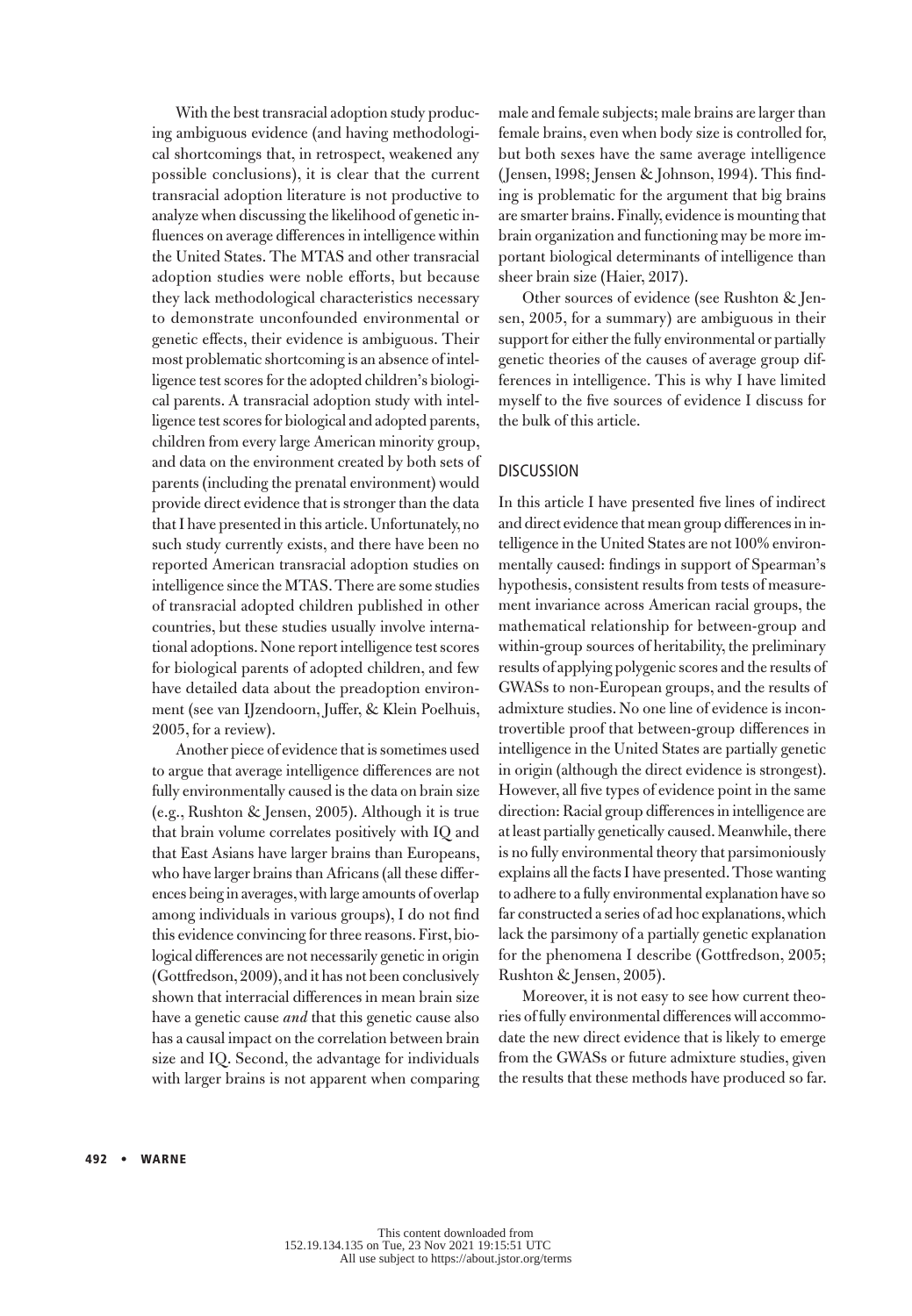With the best transracial adoption study producing ambiguous evidence (and having methodological shortcomings that, in retrospect, weakened any possible conclusions), it is clear that the current transracial adoption literature is not productive to analyze when discussing the likelihood of genetic influences on average differences in intelligence within the United States. The MTAS and other transracial adoption studies were noble efforts, but because they lack methodological characteristics necessary to demonstrate unconfounded environmental or genetic effects, their evidence is ambiguous. Their most problematic shortcoming is an absence of intelligence test scores for the adopted children's biological parents. A transracial adoption study with intelligence test scores for biological and adopted parents, children from every large American minority group, and data on the environment created by both sets of parents (including the prenatal environment) would provide direct evidence that is stronger than the data that I have presented in this article. Unfortunately, no such study currently exists, and there have been no reported American transracial adoption studies on intelligence since the MTAS. There are some studies of transracial adopted children published in other countries, but these studies usually involve international adoptions. None report intelligence test scores for biological parents of adopted children, and few have detailed data about the preadoption environment (see van IJzendoorn, Juffer, & Klein Poelhuis, 2005, for a review).

Another piece of evidence that is sometimes used to argue that average intelligence differences are not fully environmentally caused is the data on brain size (e.g., Rushton & Jensen, 2005). Although it is true that brain volume correlates positively with IQ and that East Asians have larger brains than Europeans, who have larger brains than Africans (all these differences being in averages, with large amounts of overlap among individuals in various groups), I do not find this evidence convincing for three reasons. First, biological differences are not necessarily genetic in origin (Gottfredson, 2009), and it has not been conclusively shown that interracial differences in mean brain size have a genetic cause *and* that this genetic cause also has a causal impact on the correlation between brain size and IQ. Second, the advantage for individuals with larger brains is not apparent when comparing male and female subjects; male brains are larger than female brains, even when body size is controlled for, but both sexes have the same average intelligence (Jensen, 1998; Jensen & Johnson, 1994). This finding is problematic for the argument that big brains are smarter brains. Finally, evidence is mounting that brain organization and functioning may be more important biological determinants of intelligence than sheer brain size (Haier, 2017).

Other sources of evidence (see Rushton & Jensen, 2005, for a summary) are ambiguous in their support for either the fully environmental or partially genetic theories of the causes of average group differences in intelligence. This is why I have limited myself to the five sources of evidence I discuss for the bulk of this article.

# DISCUSSION

In this article I have presented five lines of indirect and direct evidence that mean group differences in intelligence in the United States are not 100% environmentally caused: findings in support of Spearman's hypothesis, consistent results from tests of measurement invariance across American racial groups, the mathematical relationship for between-group and within-group sources of heritability, the preliminary results of applying polygenic scores and the results of GWASs to non-European groups, and the results of admixture studies. No one line of evidence is incontrovertible proof that between-group differences in intelligence in the United States are partially genetic in origin (although the direct evidence is strongest). However, all five types of evidence point in the same direction: Racial group differences in intelligence are at least partially genetically caused. Meanwhile, there is no fully environmental theory that parsimoniously explains all the facts I have presented. Those wanting to adhere to a fully environmental explanation have so far constructed a series of ad hoc explanations, which lack the parsimony of a partially genetic explanation for the phenomena I describe (Gottfredson, 2005; Rushton & Jensen, 2005).

Moreover, it is not easy to see how current theories of fully environmental differences will accommodate the new direct evidence that is likely to emerge from the GWASs or future admixture studies, given the results that these methods have produced so far.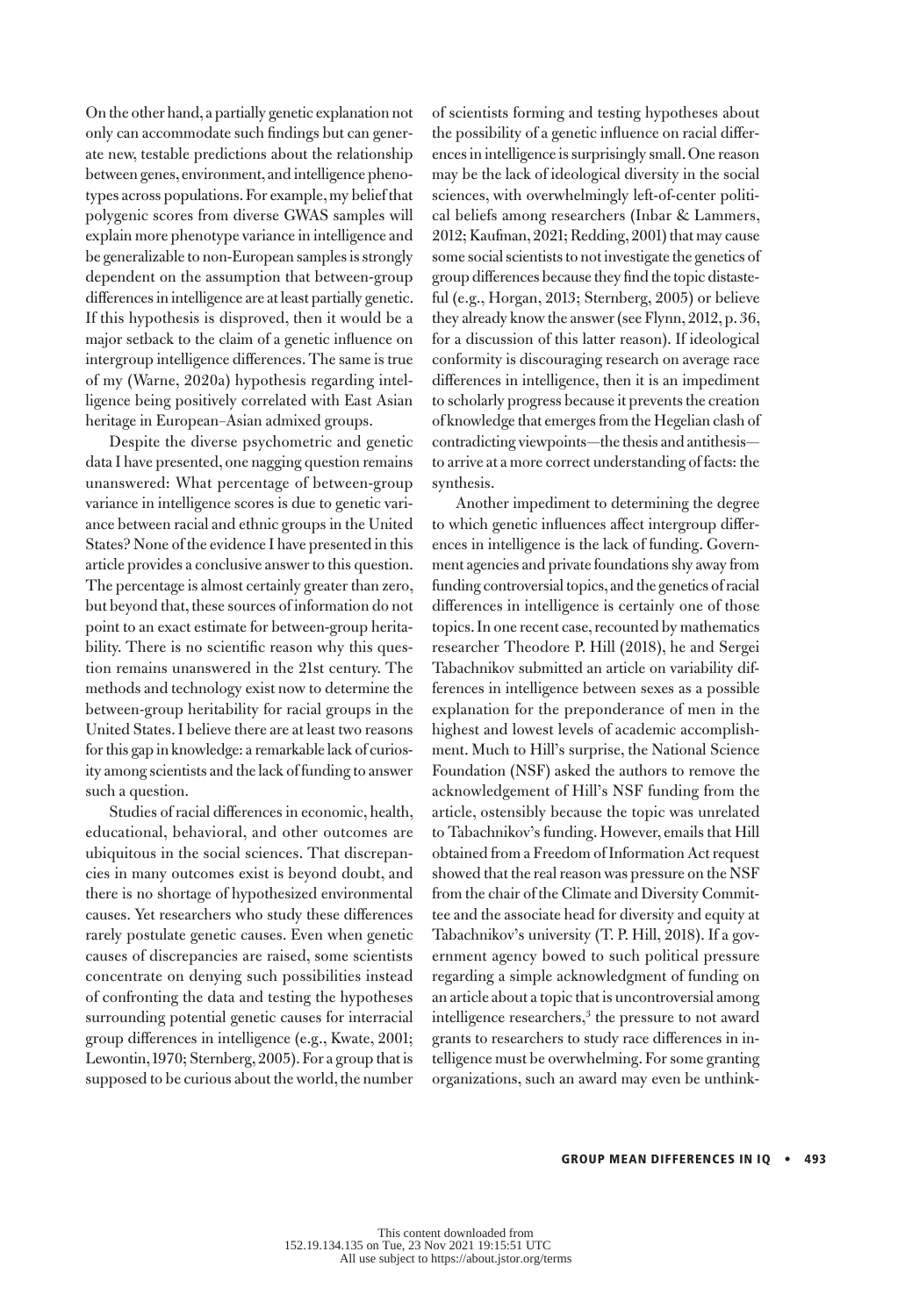On the other hand, a partially genetic explanation not only can accommodate such findings but can generate new, testable predictions about the relationship between genes, environment, and intelligence phenotypes across populations. For example, my belief that polygenic scores from diverse GWAS samples will explain more phenotype variance in intelligence and be generalizable to non-European samples is strongly dependent on the assumption that between-group differences in intelligence are at least partially genetic. If this hypothesis is disproved, then it would be a major setback to the claim of a genetic influence on intergroup intelligence differences. The same is true of my (Warne, 2020a) hypothesis regarding intelligence being positively correlated with East Asian heritage in European–Asian admixed groups.

Despite the diverse psychometric and genetic data I have presented, one nagging question remains unanswered: What percentage of between-group variance in intelligence scores is due to genetic variance between racial and ethnic groups in the United States? None of the evidence I have presented in this article provides a conclusive answer to this question. The percentage is almost certainly greater than zero, but beyond that, these sources of information do not point to an exact estimate for between-group heritability. There is no scientific reason why this question remains unanswered in the 21st century. The methods and technology exist now to determine the between-group heritability for racial groups in the United States. I believe there are at least two reasons for this gap in knowledge: a remarkable lack of curiosity among scientists and the lack of funding to answer such a question.

Studies of racial differences in economic, health, educational, behavioral, and other outcomes are ubiquitous in the social sciences. That discrepancies in many outcomes exist is beyond doubt, and there is no shortage of hypothesized environmental causes. Yet researchers who study these differences rarely postulate genetic causes. Even when genetic causes of discrepancies are raised, some scientists concentrate on denying such possibilities instead of confronting the data and testing the hypotheses surrounding potential genetic causes for interracial group differences in intelligence (e.g., Kwate, 2001; Lewontin, 1970; Sternberg, 2005). For a group that is supposed to be curious about the world, the number of scientists forming and testing hypotheses about the possibility of a genetic influence on racial differences in intelligence is surprisingly small. One reason may be the lack of ideological diversity in the social sciences, with overwhelmingly left-of-center political beliefs among researchers (Inbar & Lammers, 2012; Kaufman, 2021; Redding, 2001) that may cause some social scientists to not investigate the genetics of group differences because they find the topic distasteful (e.g., Horgan, 2013; Sternberg, 2005) or believe they already know the answer (see Flynn, 2012, p. 36, for a discussion of this latter reason). If ideological conformity is discouraging research on average race differences in intelligence, then it is an impediment to scholarly progress because it prevents the creation of knowledge that emerges from the Hegelian clash of contradicting viewpoints—the thesis and antithesis to arrive at a more correct understanding of facts: the synthesis.

Another impediment to determining the degree to which genetic influences affect intergroup differences in intelligence is the lack of funding. Government agencies and private foundations shy away from funding controversial topics, and the genetics of racial differences in intelligence is certainly one of those topics. In one recent case, recounted by mathematics researcher Theodore P. Hill (2018), he and Sergei Tabachnikov submitted an article on variability differences in intelligence between sexes as a possible explanation for the preponderance of men in the highest and lowest levels of academic accomplishment. Much to Hill's surprise, the National Science Foundation (NSF) asked the authors to remove the acknowledgement of Hill's NSF funding from the article, ostensibly because the topic was unrelated to Tabachnikov's funding. However, emails that Hill obtained from a Freedom of Information Act request showed that the real reason was pressure on the NSF from the chair of the Climate and Diversity Committee and the associate head for diversity and equity at Tabachnikov's university (T. P. Hill, 2018). If a government agency bowed to such political pressure regarding a simple acknowledgment of funding on an article about a topic that is uncontroversial among intelligence researchers,<sup>3</sup> the pressure to not award grants to researchers to study race differences in intelligence must be overwhelming. For some granting organizations, such an award may even be unthink-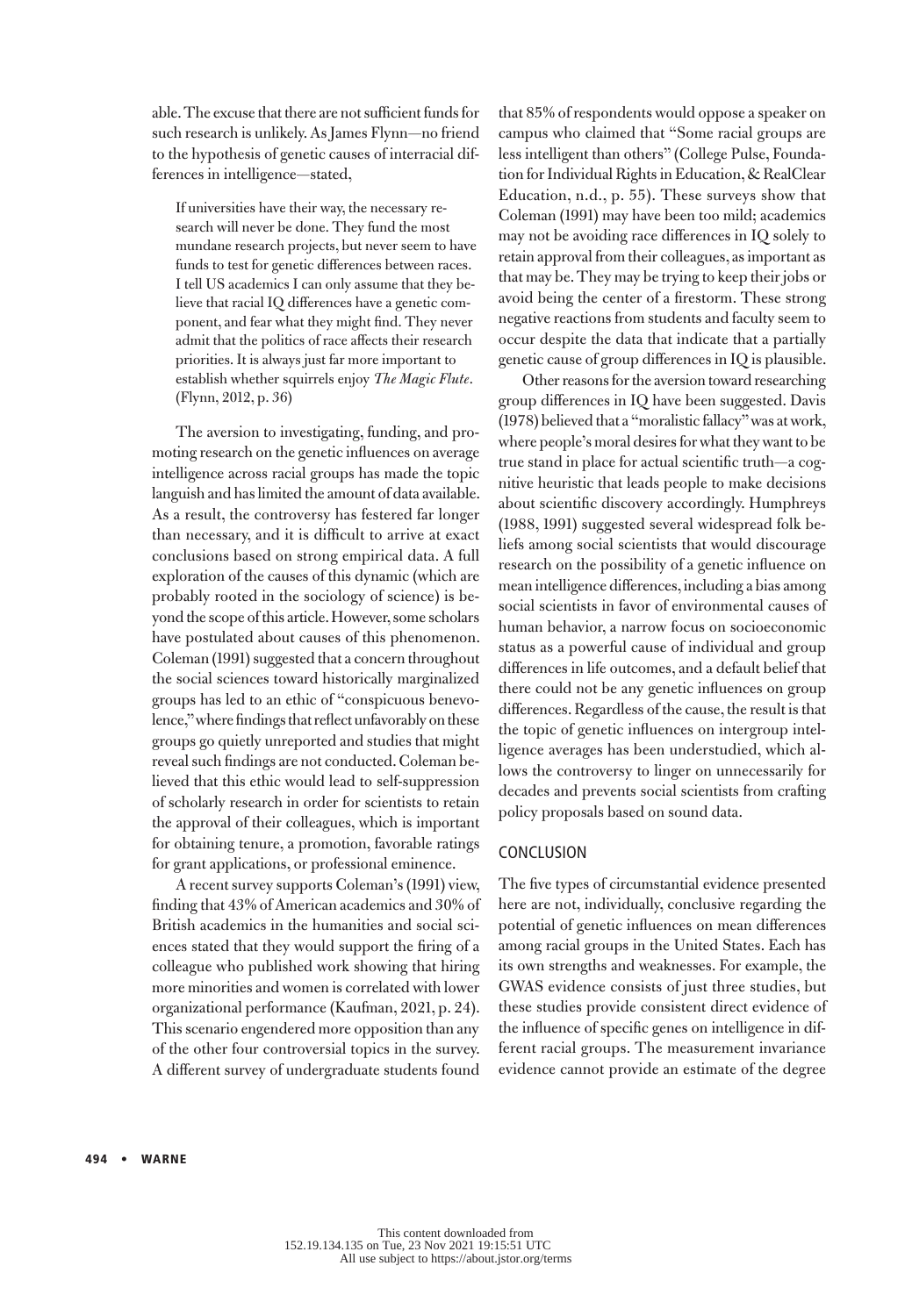able. The excuse that there are not sufficient funds for such research is unlikely. As James Flynn—no friend to the hypothesis of genetic causes of interracial differences in intelligence—stated,

If universities have their way, the necessary research will never be done. They fund the most mundane research projects, but never seem to have funds to test for genetic differences between races. I tell US academics I can only assume that they believe that racial IQ differences have a genetic component, and fear what they might find. They never admit that the politics of race affects their research priorities. It is always just far more important to establish whether squirrels enjoy *The Magic Flute*. (Flynn, 2012, p. 36)

The aversion to investigating, funding, and promoting research on the genetic influences on average intelligence across racial groups has made the topic languish and has limited the amount of data available. As a result, the controversy has festered far longer than necessary, and it is difficult to arrive at exact conclusions based on strong empirical data. A full exploration of the causes of this dynamic (which are probably rooted in the sociology of science) is beyond the scope of this article. However, some scholars have postulated about causes of this phenomenon. Coleman (1991) suggested that a concern throughout the social sciences toward historically marginalized groups has led to an ethic of "conspicuous benevolence," where findings that reflect unfavorably on these groups go quietly unreported and studies that might reveal such findings are not conducted. Coleman believed that this ethic would lead to self-suppression of scholarly research in order for scientists to retain the approval of their colleagues, which is important for obtaining tenure, a promotion, favorable ratings for grant applications, or professional eminence.

A recent survey supports Coleman's (1991) view, finding that 43% of American academics and 30% of British academics in the humanities and social sciences stated that they would support the firing of a colleague who published work showing that hiring more minorities and women is correlated with lower organizational performance (Kaufman, 2021, p. 24). This scenario engendered more opposition than any of the other four controversial topics in the survey. A different survey of undergraduate students found

that 85% of respondents would oppose a speaker on campus who claimed that "Some racial groups are less intelligent than others" (College Pulse, Foundation for Individual Rights in Education, & RealClear Education, n.d., p. 55). These surveys show that Coleman (1991) may have been too mild; academics may not be avoiding race differences in IQ solely to retain approval from their colleagues, as important as that may be. They may be trying to keep their jobs or avoid being the center of a firestorm. These strong negative reactions from students and faculty seem to occur despite the data that indicate that a partially genetic cause of group differences in IQ is plausible.

Other reasons for the aversion toward researching group differences in IQ have been suggested. Davis (1978) believed that a "moralistic fallacy" was at work, where people's moral desires for what they want to be true stand in place for actual scientific truth—a cognitive heuristic that leads people to make decisions about scientific discovery accordingly. Humphreys (1988, 1991) suggested several widespread folk beliefs among social scientists that would discourage research on the possibility of a genetic influence on mean intelligence differences, including a bias among social scientists in favor of environmental causes of human behavior, a narrow focus on socioeconomic status as a powerful cause of individual and group differences in life outcomes, and a default belief that there could not be any genetic influences on group differences. Regardless of the cause, the result is that the topic of genetic influences on intergroup intelligence averages has been understudied, which allows the controversy to linger on unnecessarily for decades and prevents social scientists from crafting policy proposals based on sound data.

# **CONCLUSION**

The five types of circumstantial evidence presented here are not, individually, conclusive regarding the potential of genetic influences on mean differences among racial groups in the United States. Each has its own strengths and weaknesses. For example, the GWAS evidence consists of just three studies, but these studies provide consistent direct evidence of the influence of specific genes on intelligence in different racial groups. The measurement invariance evidence cannot provide an estimate of the degree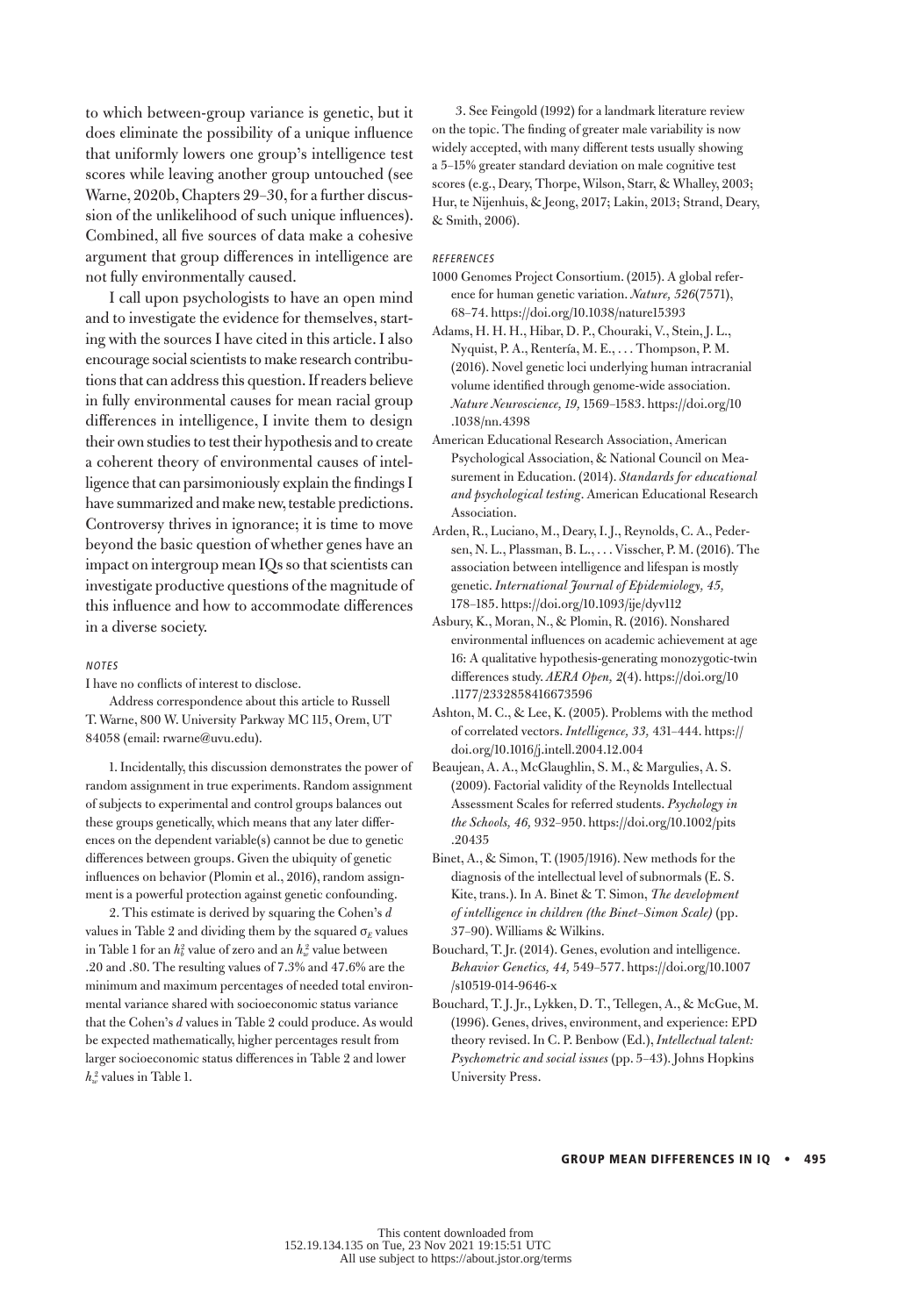to which between-group variance is genetic, but it does eliminate the possibility of a unique influence that uniformly lowers one group's intelligence test scores while leaving another group untouched (see Warne, 2020b, Chapters 29–30, for a further discussion of the unlikelihood of such unique influences). Combined, all five sources of data make a cohesive argument that group differences in intelligence are not fully environmentally caused.

I call upon psychologists to have an open mind and to investigate the evidence for themselves, starting with the sources I have cited in this article. I also encourage social scientists to make research contributions that can address this question. If readers believe in fully environmental causes for mean racial group differences in intelligence, I invite them to design their own studies to test their hypothesis and to create a coherent theory of environmental causes of intelligence that can parsimoniously explain the findings I have summarized and make new, testable predictions. Controversy thrives in ignorance; it is time to move beyond the basic question of whether genes have an impact on intergroup mean IQs so that scientists can investigate productive questions of the magnitude of this influence and how to accommodate differences in a diverse society.

## NOTES

I have no conflicts of interest to disclose.

Address correspondence about this article to Russell T. Warne, 800 W. University Parkway MC 115, Orem, UT 84058 (email: rwarne@uvu.edu).

1.Incidentally, this discussion demonstrates the power of random assignment in true experiments. Random assignment of subjects to experimental and control groups balances out these groups genetically, which means that any later differences on the dependent variable(s) cannot be due to genetic differences between groups. Given the ubiquity of genetic influences on behavior (Plomin et al., 2016), random assignment is a powerful protection against genetic confounding.

2.This estimate is derived by squaring the Cohen's *d* values in Table 2 and dividing them by the squared  $\sigma_E$  values in Table 1 for an  $h_b^2$  value of zero and an  $h_w^2$  value between .20 and .80. The resulting values of 7.3% and 47.6% are the minimum and maximum percentages of needed total environmental variance shared with socioeconomic status variance that the Cohen's *d* values in Table 2 could produce. As would be expected mathematically, higher percentages result from larger socioeconomic status differences in Table 2 and lower  $h_w^2$  values in Table 1.

3. See Feingold (1992) for a landmark literature review on the topic. The finding of greater male variability is now widely accepted, with many different tests usually showing a 5–15% greater standard deviation on male cognitive test scores (e.g., Deary, Thorpe, Wilson, Starr, & Whalley, 2003; Hur, te Nijenhuis, & Jeong, 2017; Lakin, 2013; Strand, Deary, & Smith, 2006).

## REFERENCES

- 1000 Genomes Project Consortium. (2015). A global reference for human genetic variation. *Nature, 526*(7571), 68–74. https://doi.org/10.1038/nature15393
- Adams, H. H. H., Hibar, D. P., Chouraki, V., Stein, J. L., Nyquist, P. A., Rentería, M. E., . . . Thompson, P. M. (2016). Novel genetic loci underlying human intracranial volume identified through genome-wide association. *Nature Neuroscience, 19,* 1569–1583. https://doi.org/10 .1038/nn.4398
- American Educational Research Association, American Psychological Association, & National Council on Measurement in Education. (2014). *Standards for educational and psychological testing*. American Educational Research Association.
- Arden, R., Luciano, M., Deary, I. J., Reynolds, C. A., Pedersen, N. L., Plassman, B. L., . . . Visscher, P. M. (2016). The association between intelligence and lifespan is mostly genetic. *International Journal of Epidemiology, 45,* 178–185. https://doi.org/10.1093/ije/dyv112
- Asbury, K., Moran, N., & Plomin, R. (2016). Nonshared environmental influences on academic achievement at age 16: A qualitative hypothesis-generating monozygotic-twin differences study. *AERA Open, 2*(4). https://doi.org/10 .1177/2332858416673596
- Ashton, M. C., & Lee, K. (2005). Problems with the method of correlated vectors. *Intelligence, 33,* 431–444. https:// doi.org/10.1016/j.intell.2004.12.004
- Beaujean, A. A., McGlaughlin, S. M., & Margulies, A. S. (2009). Factorial validity of the Reynolds Intellectual Assessment Scales for referred students. *Psychology in the Schools, 46,* 932–950. https://doi.org/10.1002/pits .20435
- Binet, A., & Simon, T. (1905/1916). New methods for the diagnosis of the intellectual level of subnormals (E. S. Kite, trans.). In A. Binet & T. Simon, *The development of intelligence in children (the Binet–Simon Scale)* (pp. 37–90). Williams & Wilkins.
- Bouchard, T. Jr. (2014). Genes, evolution and intelligence. *Behavior Genetics, 44,* 549–577. https://doi.org/10.1007 /s10519-014-9646-x
- Bouchard, T. J. Jr., Lykken, D. T., Tellegen, A., & McGue, M. (1996). Genes, drives, environment, and experience: EPD theory revised. In C. P. Benbow (Ed.), *Intellectual talent: Psychometric and social issues* (pp. 5–43). Johns Hopkins University Press.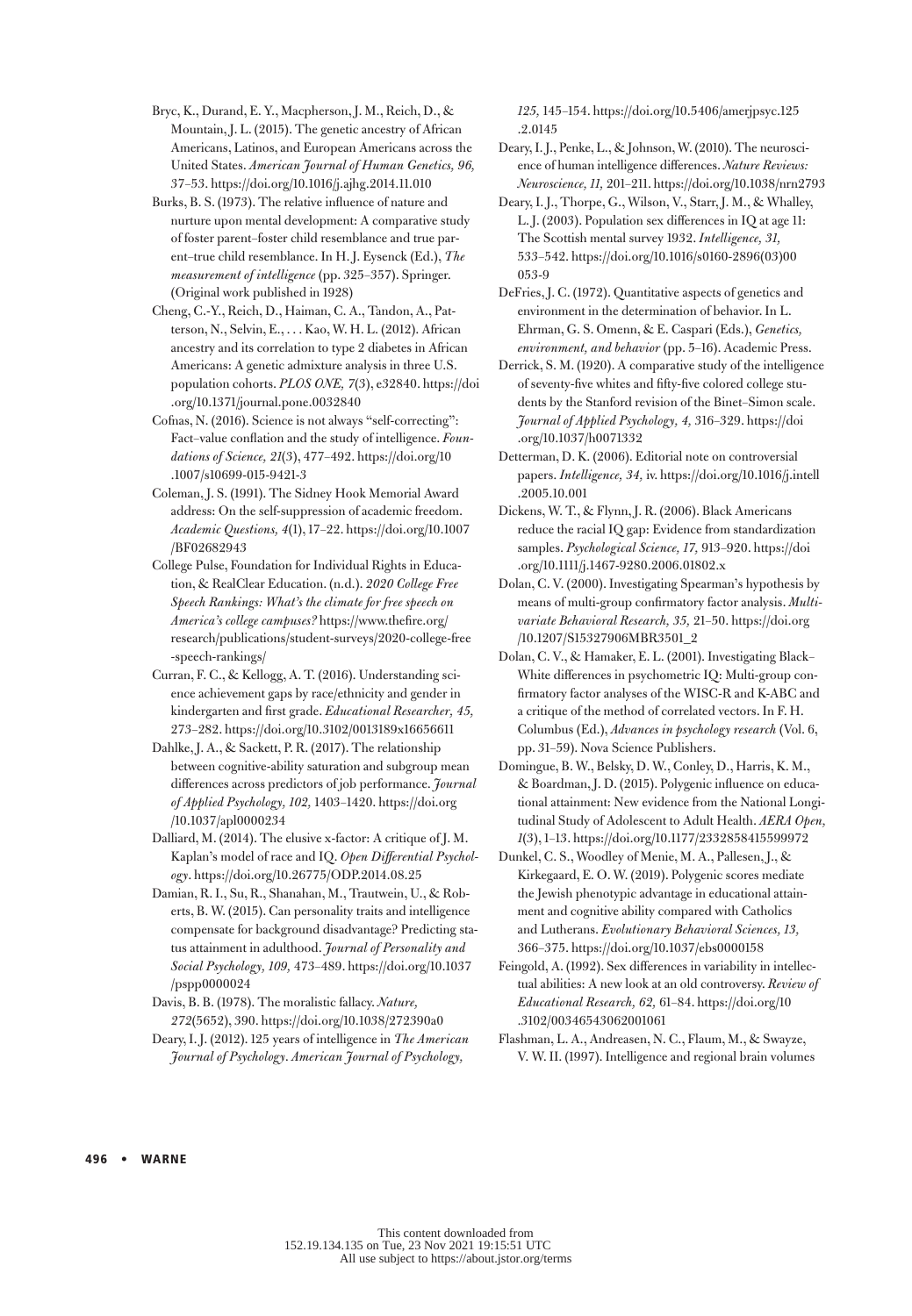- Bryc, K., Durand, E. Y., Macpherson, J. M., Reich, D., & Mountain, J. L. (2015). The genetic ancestry of African Americans, Latinos, and European Americans across the United States. *American Journal of Human Genetics, 96,* 37–53.<https://doi.org/10.1016/j.ajhg.2014.11.010>
- Burks, B. S. (1973). The relative influence of nature and nurture upon mental development: A comparative study of foster parent–foster child resemblance and true parent–true child resemblance. In H. J. Eysenck (Ed.), *The measurement of intelligence* (pp. 325–357). Springer. (Original work published in 1928)
- Cheng, C.-Y., Reich, D., Haiman, C. A., Tandon, A., Patterson, N., Selvin, E., . . . Kao, W. H. L. (2012). African ancestry and its correlation to type 2 diabetes in African Americans: A genetic admixture analysis in three U.S. population cohorts. *PLOS ONE, 7*(3), e32840. [https://doi](https://doi.org/10.1371/journal.pone.0032840) [.org/10.1371/journal.pone.0032840](https://doi.org/10.1371/journal.pone.0032840)
- Cofnas, N. (2016). Science is not always "self-correcting": Fact–value conflation and the study of intelligence. *Foundations of Science, 21*(3), 477–492. https://doi.org/10 .1007/s10699-015-9421-3
- Coleman, J. S. (1991). The Sidney Hook Memorial Award address: On the self-suppression of academic freedom. *Academic Questions, 4*(1), 17–22. [https://doi.org/10.1007](https://doi.org/10.1007/BF02682943) [/BF02682943](https://doi.org/10.1007/BF02682943)
- College Pulse, Foundation for Individual Rights in Education, & RealClear Education. (n.d.). *2020 College Free Speech Rankings: What's the climate for free speech on America's college campuses?* https://www.thefire.org/ research/publications/student-surveys/2020-college-free -speech-rankings/
- Curran, F. C., & Kellogg, A. T. (2016). Understanding science achievement gaps by race/ethnicity and gender in kindergarten and first grade. *Educational Researcher, 45,* 273–282.<https://doi.org/10.3102/0013189x16656611>
- Dahlke, J. A., & Sackett, P. R. (2017). The relationship between cognitive-ability saturation and subgroup mean differences across predictors of job performance. *Journal of Applied Psychology, 102,* 1403–1420. https://doi.org /10.1037/apl0000234
- Dalliard, M. (2014). The elusive x-factor: A critique of J. M. Kaplan's model of race and IQ. *Open Differential Psychology*. https://doi.org/10.26775/ODP.2014.08.25
- Damian, R. I., Su, R., Shanahan, M., Trautwein, U., & Roberts, B. W. (2015). Can personality traits and intelligence compensate for background disadvantage? Predicting status attainment in adulthood. *Journal of Personality and Social Psychology, 109,* 473–489. https://doi.org/10.1037 /pspp0000024
- Davis, B. B. (1978). The moralistic fallacy. *Nature, 272*(5652), 390.<https://doi.org/10.1038/272390a0>
- Deary, I. J. (2012). 125 years of intelligence in *The American Journal of Psychology*. *American Journal of Psychology,*

*125,* 145–154. https://doi.org/10.5406/amerjpsyc.125 .2.0145

Deary, I. J., Penke, L., & Johnson, W. (2010). The neuroscience of human intelligence differences. *Nature Reviews: Neuroscience, 11,* 201–211. https://doi.org/10.1038/nrn2793

Deary, I. J., Thorpe, G., Wilson, V., Starr, J. M., & Whalley, L. J. (2003). Population sex differences in IQ at age 11: The Scottish mental survey 1932. *Intelligence, 31,* 533–542. https://doi.org/10.1016/s0160-2896(03)00 053-9

DeFries, J. C. (1972). Quantitative aspects of genetics and environment in the determination of behavior. In L. Ehrman, G. S. Omenn, & E. Caspari (Eds.), *Genetics, environment, and behavior* (pp. 5–16). Academic Press.

Derrick, S. M. (1920). A comparative study of the intelligence of seventy-five whites and fifty-five colored college students by the Stanford revision of the Binet–Simon scale. *Journal of Applied Psychology, 4,* 316–329. https://doi .org/10.1037/h0071332

Detterman, D. K. (2006). Editorial note on controversial papers. *Intelligence, 34,* iv. https://doi.org/10.1016/j.intell .2005.10.001

- Dickens, W. T., & Flynn, J. R. (2006). Black Americans reduce the racial IQ gap: Evidence from standardization samples. *Psychological Science, 17,* 913–920. https://doi .org/10.1111/j.1467-9280.2006.01802.x
- Dolan, C. V. (2000). Investigating Spearman's hypothesis by means of multi-group confirmatory factor analysis. *Multivariate Behavioral Research, 35,* 21–50. https://doi.org /10.1207/S15327906MBR3501\_2
- Dolan, C. V., & Hamaker, E. L. (2001). Investigating Black– White differences in psychometric IQ: Multi-group confirmatory factor analyses of the WISC-R and K-ABC and a critique of the method of correlated vectors. In F. H. Columbus (Ed.), *Advances in psychology research* (Vol. 6, pp. 31–59). Nova Science Publishers.
- Domingue, B. W., Belsky, D. W., Conley, D., Harris, K. M., & Boardman, J. D. (2015). Polygenic influence on educational attainment: New evidence from the National Longitudinal Study of Adolescent to Adult Health. *AERA Open, 1*(3), 1–13. https://doi.org/10.1177/2332858415599972
- Dunkel, C. S., Woodley of Menie, M. A., Pallesen, J., & Kirkegaard, E. O. W. (2019). Polygenic scores mediate the Jewish phenotypic advantage in educational attainment and cognitive ability compared with Catholics and Lutherans. *Evolutionary Behavioral Sciences, 13,* 366–375.<https://doi.org/10.1037/ebs0000158>
- Feingold, A. (1992). Sex differences in variability in intellectual abilities: A new look at an old controversy. *Review of Educational Research, 62,* 61–84. https://doi.org/10 .3102/00346543062001061
- Flashman, L. A., Andreasen, N. C., Flaum, M., & Swayze, V. W. II. (1997). Intelligence and regional brain volumes

496 • WARNE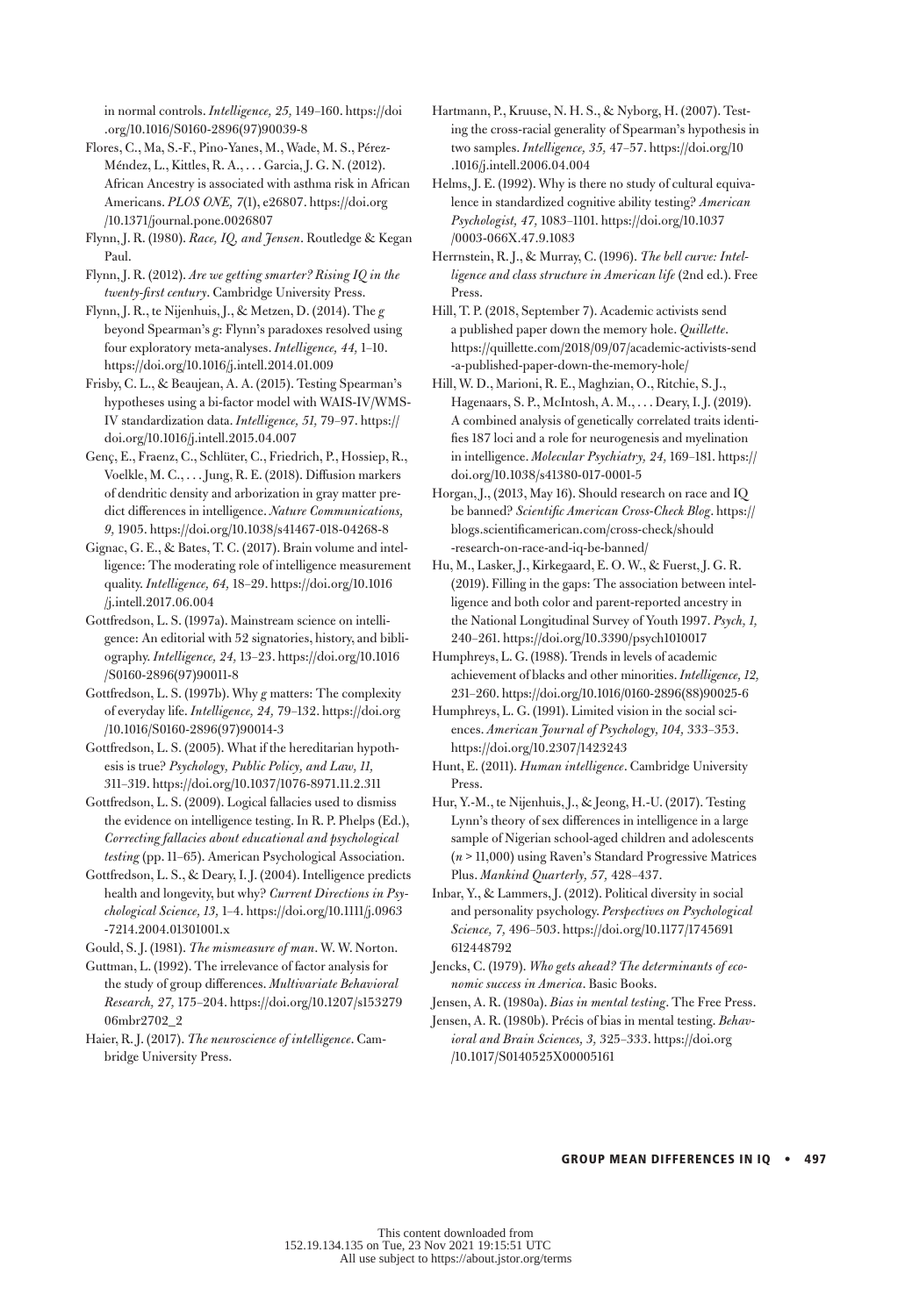in normal controls. *Intelligence, 25,* 149–160. https://doi .org/10.1016/S0160-2896(97)90039-8

- Flores, C., Ma, S.-F., Pino-Yanes, M., Wade, M. S., Pérez-Méndez, L., Kittles, R. A., . . . Garcia, J. G. N. (2012). African Ancestry is associated with asthma risk in African Americans. *PLOS ONE, 7*(1), e26807. [https://doi.org](https://doi.org/10.1371/journal.pone.0026807) [/10.1371/journal.pone.0026807](https://doi.org/10.1371/journal.pone.0026807)
- Flynn, J. R. (1980). *Race, IQ, and Jensen*. Routledge & Kegan Paul.
- Flynn, J. R. (2012). *Are we getting smarter? Rising IQ in the twenty-first century*. Cambridge University Press.
- Flynn, J. R., te Nijenhuis, J., & Metzen, D. (2014). The *g* beyond Spearman's *g*: Flynn's paradoxes resolved using four exploratory meta-analyses. *Intelligence, 44,* 1–10. <https://doi.org/10.1016/j.intell.2014.01.009>
- Frisby, C. L., & Beaujean, A. A. (2015). Testing Spearman's hypotheses using a bi-factor model with WAIS-IV/WMS-IV standardization data. *Intelligence, 51,* 79–97. https:// doi.org/10.1016/j.intell.2015.04.007
- Genç, E., Fraenz, C., Schlüter, C., Friedrich, P., Hossiep, R., Voelkle, M. C., . . . Jung, R. E. (2018). Diffusion markers of dendritic density and arborization in gray matter predict differences in intelligence. *Nature Communications, 9,* 1905. https://doi.org/10.1038/s41467-018-04268-8
- Gignac, G. E., & Bates, T. C. (2017). Brain volume and intelligence: The moderating role of intelligence measurement quality. *Intelligence, 64,* 18–29. https://doi.org/10.1016 /j.intell.2017.06.004
- Gottfredson, L. S. (1997a). Mainstream science on intelligence: An editorial with 52 signatories, history, and bibliography. *Intelligence, 24,* 13–23. https://doi.org/10.1016 /S0160-2896(97)90011-8
- Gottfredson, L. S. (1997b). Why *g* matters: The complexity of everyday life. *Intelligence, 24,* 79–132. https://doi.org /10.1016/S0160-2896(97)90014-3
- Gottfredson, L. S. (2005). What if the hereditarian hypothesis is true? *Psychology, Public Policy, and Law, 11,* 311–319. https://doi.org/10.1037/1076-8971.11.2.311
- Gottfredson, L. S. (2009). Logical fallacies used to dismiss the evidence on intelligence testing. In R. P. Phelps (Ed.), *Correcting fallacies about educational and psychological testing* (pp. 11–65). American Psychological Association.
- Gottfredson, L. S., & Deary, I. J. (2004). Intelligence predicts health and longevity, but why? *Current Directions in Psychological Science, 13,* 1–4. https://doi.org/10.1111/j.0963 -7214.2004.01301001.x
- Gould, S. J. (1981). *The mismeasure of man*. W. W. Norton.
- Guttman, L. (1992). The irrelevance of factor analysis for the study of group differences. *Multivariate Behavioral Research, 27,* 175–204. [https://doi.org/10.1207/s153279](https://doi.org/10.1207/s15327906mbr2702_2) [06mbr2702\\_2](https://doi.org/10.1207/s15327906mbr2702_2)

Haier, R. J. (2017). *The neuroscience of intelligence*. Cambridge University Press.

- Hartmann, P., Kruuse, N. H. S., & Nyborg, H. (2007). Testing the cross-racial generality of Spearman's hypothesis in two samples. *Intelligence, 35,* 47–57. https://doi.org/10 .1016/j.intell.2006.04.004
- Helms, J. E. (1992). Why is there no study of cultural equivalence in standardized cognitive ability testing? *American Psychologist, 47,* 1083–1101. https://doi.org/10.1037 /0003-066X.47.9.1083
- Herrnstein, R. J., & Murray, C. (1996). *The bell curve: Intelligence and class structure in American life* (2nd ed.). Free Press.
- Hill, T. P. (2018, September 7). Academic activists send a published paper down the memory hole. *Quillette*. https://quillette.com/2018/09/07/academic-activists-send -a-published-paper-down-the-memory-hole/
- Hill, W. D., Marioni, R. E., Maghzian, O., Ritchie, S. J., Hagenaars, S. P., McIntosh, A. M., . . . Deary, I. J. (2019). A combined analysis of genetically correlated traits identifies 187 loci and a role for neurogenesis and myelination in intelligence. *Molecular Psychiatry, 24,* 169–181. https:// doi.org/10.1038/s41380-017-0001-5
- Horgan, J., (2013, May 16). Should research on race and IQ be banned? *Scientific American Cross-Check Blog*. https:// blogs.scientificamerican.com/cross-check/should -research-on-race-and-iq-be-banned/
- Hu, M., Lasker, J., Kirkegaard, E. O. W., & Fuerst, J. G. R. (2019). Filling in the gaps: The association between intelligence and both color and parent-reported ancestry in the National Longitudinal Survey of Youth 1997. *Psych, 1,* 240–261. <https://doi.org/10.3390/psych1010017>
- Humphreys, L. G. (1988). Trends in levels of academic achievement of blacks and other minorities. *Intelligence, 12,* 231–260. https://doi.org/10.1016/0160-2896(88)90025-6
- Humphreys, L. G. (1991). Limited vision in the social sciences. *American Journal of Psychology, 104,* 333–353. https://doi.org/10.2307/1423243
- Hunt, E. (2011). *Human intelligence*. Cambridge University Press.
- Hur, Y.-M., te Nijenhuis, J., & Jeong, H.-U. (2017). Testing Lynn's theory of sex differences in intelligence in a large sample of Nigerian school-aged children and adolescents (*n* > 11,000) using Raven's Standard Progressive Matrices Plus. *Mankind Quarterly, 57,* 428–437.
- Inbar, Y., & Lammers, J. (2012). Political diversity in social and personality psychology. *Perspectives on Psychological Science, 7,* 496–503. https://doi.org/10.1177/1745691 612448792
- Jencks, C. (1979). *Who gets ahead? The determinants of economic success in America*. Basic Books.
- Jensen, A. R. (1980a). *Bias in mental testing*. The Free Press.
- Jensen, A. R. (1980b). Précis of bias in mental testing. *Behavioral and Brain Sciences, 3,* 325–333. https://doi.org /10.1017/S0140525X00005161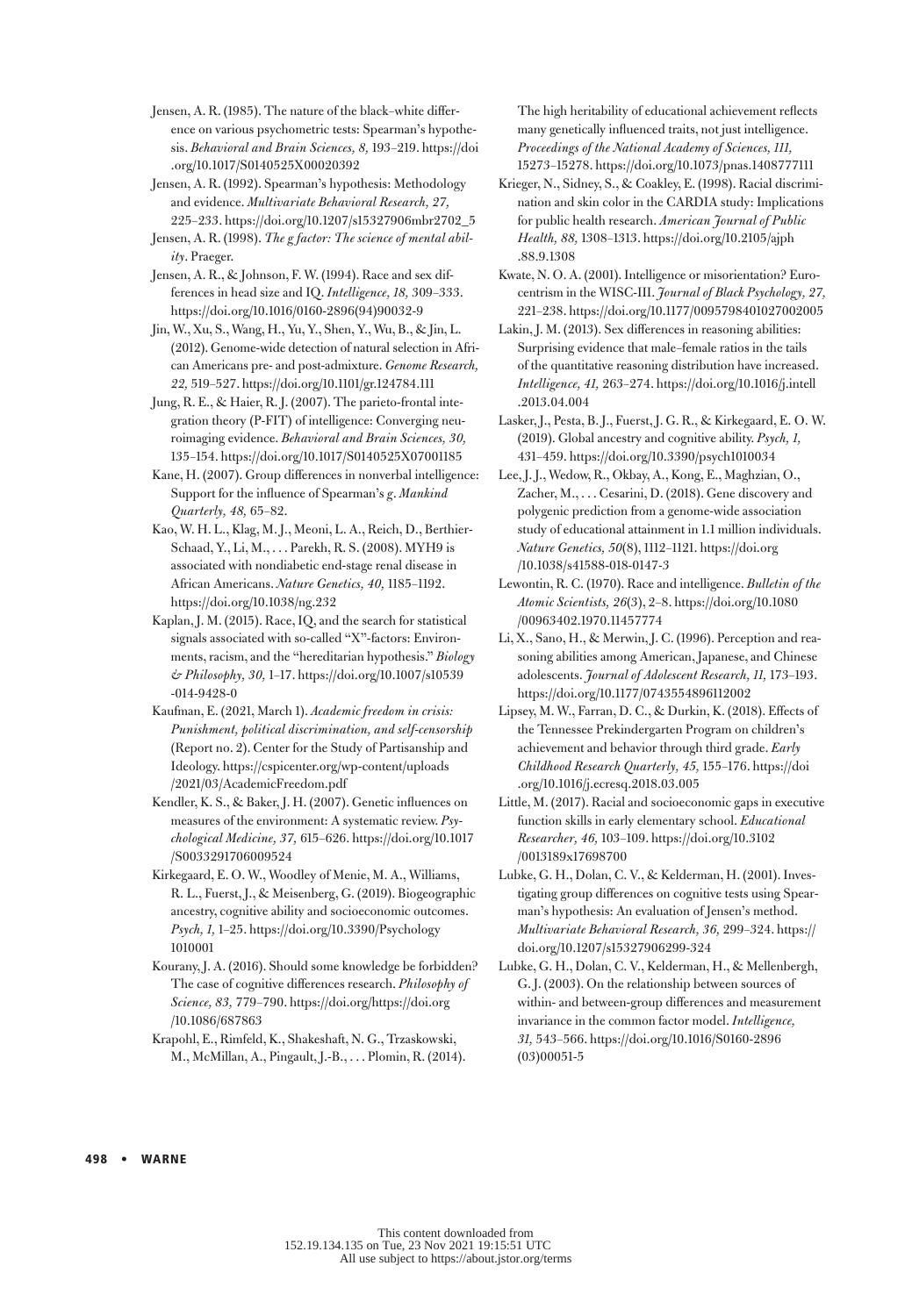Jensen, A. R. (1985). The nature of the black–white difference on various psychometric tests: Spearman's hypothesis. *Behavioral and Brain Sciences, 8,* 193–219. https://doi .org/10.1017/S0140525X00020392

Jensen, A. R. (1992). Spearman's hypothesis: Methodology and evidence. *Multivariate Behavioral Research, 27,* 225–233. [https://doi.org/10.1207/s15327906mbr2702\\_5](https://doi.org/10.1207/s15327906mbr2702_5)

Jensen, A. R. (1998). *The g factor: The science of mental ability*. Praeger.

Jensen, A. R., & Johnson, F. W. (1994). Race and sex differences in head size and IQ. *Intelligence, 18,* 309–333. https://doi.org/10.1016/0160-2896(94)90032-9

Jin, W., Xu, S., Wang, H., Yu, Y., Shen, Y., Wu, B., & Jin, L. (2012). Genome-wide detection of natural selection in African Americans pre- and post-admixture. *Genome Research, 22,* 519–527.<https://doi.org/10.1101/gr.124784.111>

Jung, R. E., & Haier, R. J. (2007). The parieto-frontal integration theory (P-FIT) of intelligence: Converging neuroimaging evidence. *Behavioral and Brain Sciences, 30,* 135–154. https://doi.org/10.1017/S0140525X07001185

Kane, H. (2007). Group differences in nonverbal intelligence: Support for the influence of Spearman's *g*. *Mankind Quarterly, 48,* 65–82.

Kao, W. H. L., Klag, M. J., Meoni, L. A., Reich, D., Berthier-Schaad, Y., Li, M., . . . Parekh, R. S. (2008). MYH9 is associated with nondiabetic end-stage renal disease in African Americans. *Nature Genetics, 40,* 1185–1192. <https://doi.org/10.1038/ng.232>

Kaplan, J. M. (2015). Race, IQ, and the search for statistical signals associated with so-called "X"-factors: Environments, racism, and the "hereditarian hypothesis." *Biology & Philosophy, 30,* 1–17. https://doi.org/10.1007/s10539 -014-9428-0

Kaufman, E. (2021, March 1). *Academic freedom in crisis: Punishment, political discrimination, and self-censorship* (Report no. 2). Center for the Study of Partisanship and Ideology. https://cspicenter.org/wp-content/uploads /2021/03/AcademicFreedom.pdf

Kendler, K. S., & Baker, J. H. (2007). Genetic influences on measures of the environment: A systematic review. *Psychological Medicine, 37,* 615–626. https://doi.org/10.1017 /S0033291706009524

Kirkegaard, E. O. W., Woodley of Menie, M. A., Williams, R. L., Fuerst, J., & Meisenberg, G. (2019). Biogeographic ancestry, cognitive ability and socioeconomic outcomes. *Psych, 1,* 1–25. [https://doi.org/10.3390/Psychology](https://doi.org/10.3390/Psychology1010001) [1010001](https://doi.org/10.3390/Psychology1010001)

Kourany, J. A. (2016). Should some knowledge be forbidden? The case of cognitive differences research. *Philosophy of Science, 83,* 779–790. https://doi.org/https://doi.org /10.1086/687863

Krapohl, E., Rimfeld, K., Shakeshaft, N. G., Trzaskowski, M., McMillan, A., Pingault, J.-B., . . . Plomin, R. (2014).

The high heritability of educational achievement reflects many genetically influenced traits, not just intelligence. *Proceedings of the National Academy of Sciences, 111,* 15273–15278. https://doi.org/10.1073/pnas.1408777111

Krieger, N., Sidney, S., & Coakley, E. (1998). Racial discrimination and skin color in the CARDIA study: Implications for public health research. *American Journal of Public Health, 88,* 1308–1313. [https://doi.org/10.2105/ajph](https://doi.org/10.2105/ajph.88.9.1308) [.88.9.1308](https://doi.org/10.2105/ajph.88.9.1308)

Kwate, N. O. A. (2001). Intelligence or misorientation? Eurocentrism in the WISC-III. *Journal of Black Psychology, 27,* 221–238. https://doi.org/10.1177/0095798401027002005

Lakin, J. M. (2013). Sex differences in reasoning abilities: Surprising evidence that male–female ratios in the tails of the quantitative reasoning distribution have increased. *Intelligence, 41,* 263–274. https://doi.org/10.1016/j.intell .2013.04.004

Lasker, J., Pesta, B. J., Fuerst, J. G. R., & Kirkegaard, E. O. W. (2019). Global ancestry and cognitive ability. *Psych, 1,* 431–459. <https://doi.org/10.3390/psych1010034>

Lee, J. J., Wedow, R., Okbay, A., Kong, E., Maghzian, O., Zacher, M., . . . Cesarini, D. (2018). Gene discovery and polygenic prediction from a genome-wide association study of educational attainment in 1.1 million individuals. *Nature Genetics, 50*(8), 1112–1121. https://doi.org /10.1038/s41588-018-0147-3

Lewontin, R. C. (1970). Race and intelligence. *Bulletin of the Atomic Scientists, 26*(3), 2–8. https://doi.org/10.1080 /00963402.1970.11457774

Li, X., Sano, H., & Merwin, J. C. (1996). Perception and reasoning abilities among American, Japanese, and Chinese adolescents. *Journal of Adolescent Research, 11,* 173–193. https://doi.org/10.1177/0743554896112002

Lipsey, M. W., Farran, D. C., & Durkin, K. (2018). Effects of the Tennessee Prekindergarten Program on children's achievement and behavior through third grade. *Early Childhood Research Quarterly, 45,* 155–176. [https://doi](https://doi.org/10.1016/j.ecresq.2018.03.005) [.org/10.1016/j.ecresq.2018.03.005](https://doi.org/10.1016/j.ecresq.2018.03.005)

Little, M. (2017). Racial and socioeconomic gaps in executive function skills in early elementary school. *Educational Researcher, 46,* 103–109. [https://doi.org/10.3102](https://doi.org/10.3102/0013189x17698700) [/0013189x17698700](https://doi.org/10.3102/0013189x17698700)

Lubke, G. H., Dolan, C. V., & Kelderman, H. (2001). Investigating group differences on cognitive tests using Spearman's hypothesis: An evaluation of Jensen's method. *Multivariate Behavioral Research, 36,* 299–324. https:// doi.org/10.1207/s15327906299-324

Lubke, G. H., Dolan, C. V., Kelderman, H., & Mellenbergh, G. J. (2003). On the relationship between sources of within- and between-group differences and measurement invariance in the common factor model. *Intelligence, 31,* 543–566. https://doi.org/10.1016/S0160-2896 (03)00051-5

498 • WARNE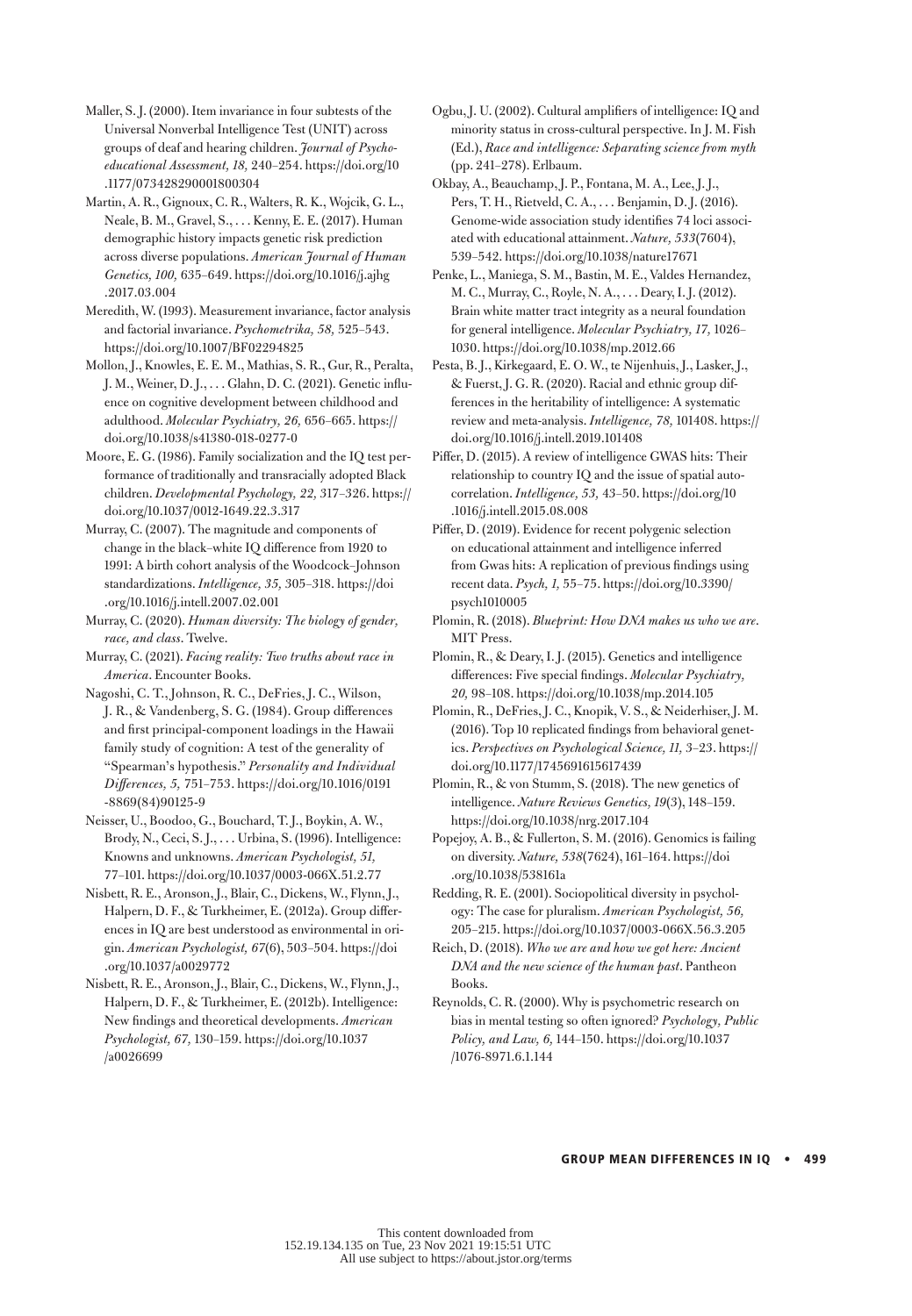Maller, S. J. (2000). Item invariance in four subtests of the Universal Nonverbal Intelligence Test (UNIT) across groups of deaf and hearing children. *Journal of Psychoeducational Assessment, 18,* 240–254. https://doi.org/10 .1177/073428290001800304

Martin, A. R., Gignoux, C. R., Walters, R. K., Wojcik, G. L., Neale, B. M., Gravel, S., . . . Kenny, E. E. (2017). Human demographic history impacts genetic risk prediction across diverse populations. *American Journal of Human Genetics, 100,* 635–649. https://doi.org/10.1016/j.ajhg .2017.03.004

Meredith, W. (1993). Measurement invariance, factor analysis and factorial invariance. *Psychometrika, 58,* 525–543. https://doi.org/10.1007/BF02294825

Mollon, J., Knowles, E. E. M., Mathias, S. R., Gur, R., Peralta, J. M., Weiner, D. J., . . . Glahn, D. C. (2021). Genetic influence on cognitive development between childhood and adulthood. *Molecular Psychiatry, 26,* 656–665. https:// doi.org/10.1038/s41380-018-0277-0

Moore, E. G. (1986). Family socialization and the IQ test performance of traditionally and transracially adopted Black children. *Developmental Psychology, 22,* 317–326. https:// doi.org/10.1037/0012-1649.22.3.317

Murray, C. (2007). The magnitude and components of change in the black–white IQ difference from 1920 to 1991: A birth cohort analysis of the Woodcock–Johnson standardizations. *Intelligence, 35,* 305–318. https://doi .org/10.1016/j.intell.2007.02.001

Murray, C. (2020). *Human diversity: The biology of gender, race, and class*. Twelve.

Murray, C. (2021). *Facing reality: Two truths about race in America*. Encounter Books.

Nagoshi, C. T., Johnson, R. C., DeFries, J. C., Wilson, J. R., & Vandenberg, S. G. (1984). Group differences and first principal-component loadings in the Hawaii family study of cognition: A test of the generality of "Spearman's hypothesis." *Personality and Individual Differences, 5,* 751–753. https://doi.org/10.1016/0191 -8869(84)90125-9

Neisser, U., Boodoo, G., Bouchard, T. J., Boykin, A. W., Brody, N., Ceci, S. J., . . . Urbina, S. (1996). Intelligence: Knowns and unknowns. *American Psychologist, 51,* 77–101. https://doi.org/10.1037/0003-066X.51.2.77

Nisbett, R. E., Aronson, J., Blair, C., Dickens, W., Flynn, J., Halpern, D. F., & Turkheimer, E. (2012a). Group differences in IQ are best understood as environmental in origin. *American Psychologist, 67*(6), 503–504. https://doi .org/10.1037/a0029772

Nisbett, R. E., Aronson, J., Blair, C., Dickens, W., Flynn, J., Halpern, D. F., & Turkheimer, E. (2012b). Intelligence: New findings and theoretical developments. *American Psychologist, 67,* 130–159. https://doi.org/10.1037 /a0026699

Ogbu, J. U. (2002). Cultural amplifiers of intelligence: IQ and minority status in cross-cultural perspective. In J. M. Fish (Ed.), *Race and intelligence: Separating science from myth* (pp. 241–278). Erlbaum.

Okbay, A., Beauchamp, J. P., Fontana, M. A., Lee, J. J., Pers, T. H., Rietveld, C. A., . . . Benjamin, D. J. (2016). Genome-wide association study identifies 74 loci associated with educational attainment. *Nature, 533*(7604), 539–542. https://doi.org/10.1038/nature17671

Penke, L., Maniega, S. M., Bastin, M. E., Valdes Hernandez, M. C., Murray, C., Royle, N. A., . . . Deary, I. J. (2012). Brain white matter tract integrity as a neural foundation for general intelligence. *Molecular Psychiatry, 17,* 1026– 1030. https://doi.org/10.1038/mp.2012.66

Pesta, B. J., Kirkegaard, E. O. W., te Nijenhuis, J., Lasker, J., & Fuerst, J. G. R. (2020). Racial and ethnic group differences in the heritability of intelligence: A systematic review and meta-analysis. *Intelligence, 78,* 101408. https:// doi.org/10.1016/j.intell.2019.101408

Piffer, D. (2015). A review of intelligence GWAS hits: Their relationship to country IQ and the issue of spatial autocorrelation. *Intelligence, 53,* 43–50. https://doi.org/10 .1016/j.intell.2015.08.008

Piffer, D. (2019). Evidence for recent polygenic selection on educational attainment and intelligence inferred from Gwas hits: A replication of previous findings using recent data. *Psych, 1,* 55–75. [https://doi.org/10.3390/](https://doi.org/10.3390/psych1010005) [psych1010005](https://doi.org/10.3390/psych1010005)

Plomin, R. (2018). *Blueprint: How DNA makes us who we are*. MIT Press.

Plomin, R., & Deary, I. J. (2015). Genetics and intelligence differences: Five special findings. *Molecular Psychiatry, 20,* 98–108. https://doi.org/10.1038/mp.2014.105

Plomin, R., DeFries, J. C., Knopik, V. S., & Neiderhiser, J. M. (2016). Top 10 replicated findings from behavioral genetics. *Perspectives on Psychological Science, 11,* 3–23. https:// doi.org/10.1177/1745691615617439

Plomin, R., & von Stumm, S. (2018). The new genetics of intelligence. *Nature Reviews Genetics, 19*(3), 148–159. https://doi.org/10.1038/nrg.2017.104

Popejoy, A. B., & Fullerton, S. M. (2016). Genomics is failing on diversity. *Nature, 538*(7624), 161–164. https://doi .org/10.1038/538161a

Redding, R. E. (2001). Sociopolitical diversity in psychology: The case for pluralism. *American Psychologist, 56,* 205–215. https://doi.org/10.1037/0003-066X.56.3.205

Reich, D. (2018). *Who we are and how we got here: Ancient DNA and the new science of the human past*. Pantheon Books.

Reynolds, C. R. (2000). Why is psychometric research on bias in mental testing so often ignored? *Psychology, Public Policy, and Law, 6,* 144–150. https://doi.org/10.1037 /1076-8971.6.1.144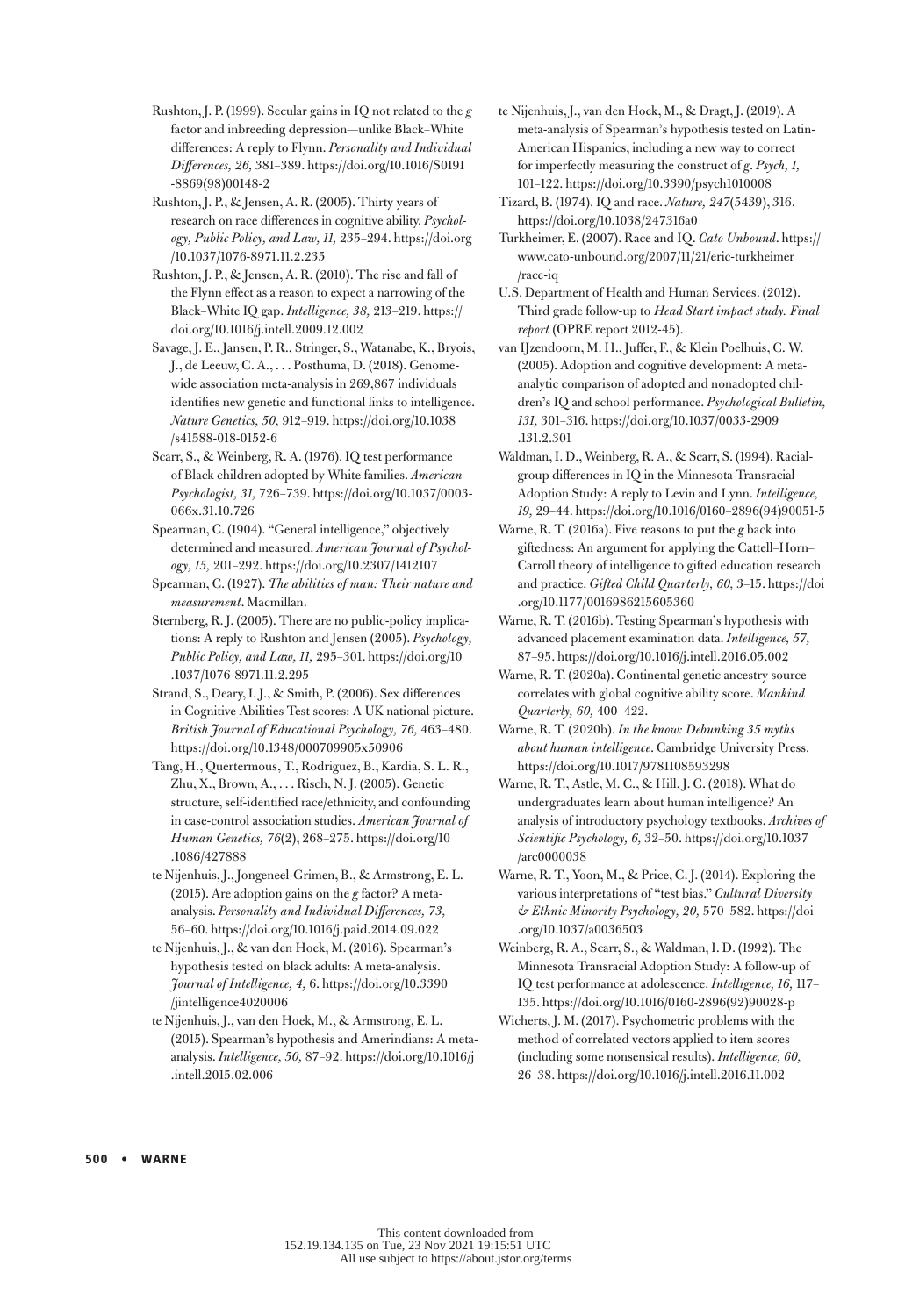Rushton, J. P. (1999). Secular gains in IQ not related to the *g* factor and inbreeding depression—unlike Black–White differences: A reply to Flynn. *Personality and Individual Differences, 26,* 381–389. https://doi.org/10.1016/S0191 -8869(98)00148-2

Rushton, J. P., & Jensen, A. R. (2005). Thirty years of research on race differences in cognitive ability. *Psychology, Public Policy, and Law, 11,* 235–294. https://doi.org /10.1037/1076-8971.11.2.235

Rushton, J. P., & Jensen, A. R. (2010). The rise and fall of the Flynn effect as a reason to expect a narrowing of the Black–White IQ gap. *Intelligence, 38,* 213–219. [https://](https://doi.org/10.1016/j.intell.2009.12.002) [doi.org/10.1016/j.intell.2009.12.002](https://doi.org/10.1016/j.intell.2009.12.002)

Savage, J. E., Jansen, P. R., Stringer, S., Watanabe, K., Bryois, J., de Leeuw, C. A., . . . Posthuma, D. (2018). Genomewide association meta-analysis in 269,867 individuals identifies new genetic and functional links to intelligence. *Nature Genetics, 50,* 912–919. https://doi.org/10.1038 /s41588-018-0152-6

Scarr, S., & Weinberg, R. A. (1976). IQ test performance of Black children adopted by White families. *American Psychologist, 31,* 726–739. https://doi.org/10.1037/0003- 066x.31.10.726

Spearman, C. (1904). "General intelligence," objectively determined and measured. *American Journal of Psychology, 15,* 201–292. https://doi.org/10.2307/1412107

Spearman, C. (1927). *The abilities of man: Their nature and measurement*. Macmillan.

Sternberg, R. J. (2005). There are no public-policy implications: A reply to Rushton and Jensen (2005). *Psychology, Public Policy, and Law, 11,* 295–301. https://doi.org/10 .1037/1076-8971.11.2.295

Strand, S., Deary, I. J., & Smith, P. (2006). Sex differences in Cognitive Abilities Test scores: A UK national picture. *British Journal of Educational Psychology, 76,* 463–480. https://doi.org/10.1348/000709905x50906

Tang, H., Quertermous, T., Rodriguez, B., Kardia, S. L. R., Zhu, X., Brown, A., . . . Risch, N. J. (2005). Genetic structure, self-identified race/ethnicity, and confounding in case-control association studies. *American Journal of Human Genetics, 76*(2), 268–275. [https://doi.org/10](https://doi.org/10.1086/427888) [.1086/427888](https://doi.org/10.1086/427888)

te Nijenhuis, J., Jongeneel-Grimen, B., & Armstrong, E. L. (2015). Are adoption gains on the *g* factor? A metaanalysis. *Personality and Individual Differences, 73,* 56–60.<https://doi.org/10.1016/j.paid.2014.09.022>

te Nijenhuis, J., & van den Hoek, M. (2016). Spearman's hypothesis tested on black adults: A meta-analysis. *Journal of Intelligence, 4,* 6. https://doi.org/10.3390 /jintelligence4020006

te Nijenhuis, J., van den Hoek, M., & Armstrong, E. L. (2015). Spearman's hypothesis and Amerindians: A metaanalysis. *Intelligence, 50,* 87–92. https://doi.org/10.1016/j .intell.2015.02.006

te Nijenhuis, J., van den Hoek, M., & Dragt, J. (2019). A meta-analysis of Spearman's hypothesis tested on Latin-American Hispanics, including a new way to correct for imperfectly measuring the construct of *g*. *Psych, 1,* 101–122. https://doi.org/10.3390/psych1010008

Tizard, B. (1974). IQ and race. *Nature, 247*(5439), 316. https://doi.org/10.1038/247316a0

Turkheimer, E. (2007). Race and IQ. *Cato Unbound*. [https://](https://www.cato-unbound.org/2007/11/21/eric-turkheimer/race-iq) [www.cato-unbound.org/2007/11/21/eric-turkheimer](https://www.cato-unbound.org/2007/11/21/eric-turkheimer/race-iq) [/race-iq](https://www.cato-unbound.org/2007/11/21/eric-turkheimer/race-iq)

U.S. Department of Health and Human Services. (2012). Third grade follow-up to *Head Start impact study. Final report* (OPRE report 2012-45).

van IJzendoorn, M. H., Juffer, F., & Klein Poelhuis, C. W. (2005). Adoption and cognitive development: A metaanalytic comparison of adopted and nonadopted children's IQ and school performance. *Psychological Bulletin, 131,* 301–316. https://doi.org/10.1037/0033-2909 .131.2.301

Waldman, I. D., Weinberg, R. A., & Scarr, S. (1994). Racialgroup differences in IQ in the Minnesota Transracial Adoption Study: A reply to Levin and Lynn. *Intelligence, 19,* 29–44. https://doi.org/10.1016/0160–2896(94)90051-5

Warne, R. T. (2016a). Five reasons to put the *g* back into giftedness: An argument for applying the Cattell–Horn– Carroll theory of intelligence to gifted education research and practice. *Gifted Child Quarterly, 60,* 3–15. https://doi .org/10.1177/0016986215605360

Warne, R. T. (2016b). Testing Spearman's hypothesis with advanced placement examination data. *Intelligence, 57,* 87–95.<https://doi.org/10.1016/j.intell.2016.05.002>

Warne, R. T. (2020a). Continental genetic ancestry source correlates with global cognitive ability score. *Mankind Quarterly, 60,* 400–422.

Warne, R. T. (2020b). *In the know: Debunking 35 myths about human intelligence*. Cambridge University Press. <https://doi.org/10.1017/9781108593298>

Warne, R. T., Astle, M. C., & Hill, J. C. (2018). What do undergraduates learn about human intelligence? An analysis of introductory psychology textbooks. *Archives of Scientific Psychology, 6,* 32–50. https://doi.org/10.1037 /arc0000038

Warne, R. T., Yoon, M., & Price, C. J. (2014). Exploring the various interpretations of "test bias." *Cultural Diversity & Ethnic Minority Psychology, 20,* 570–582. [https://doi](https://doi.org/10.1037/a0036503) [.org/10.1037/a0036503](https://doi.org/10.1037/a0036503)

Weinberg, R. A., Scarr, S., & Waldman, I. D. (1992). The Minnesota Transracial Adoption Study: A follow-up of IQ test performance at adolescence. *Intelligence, 16,* 117– 135. https://doi.org/10.1016/0160-2896(92)90028-p

Wicherts, J. M. (2017). Psychometric problems with the method of correlated vectors applied to item scores (including some nonsensical results). *Intelligence, 60,* 26–38. https://doi.org/10.1016/j.intell.2016.11.002

500 • WARNE